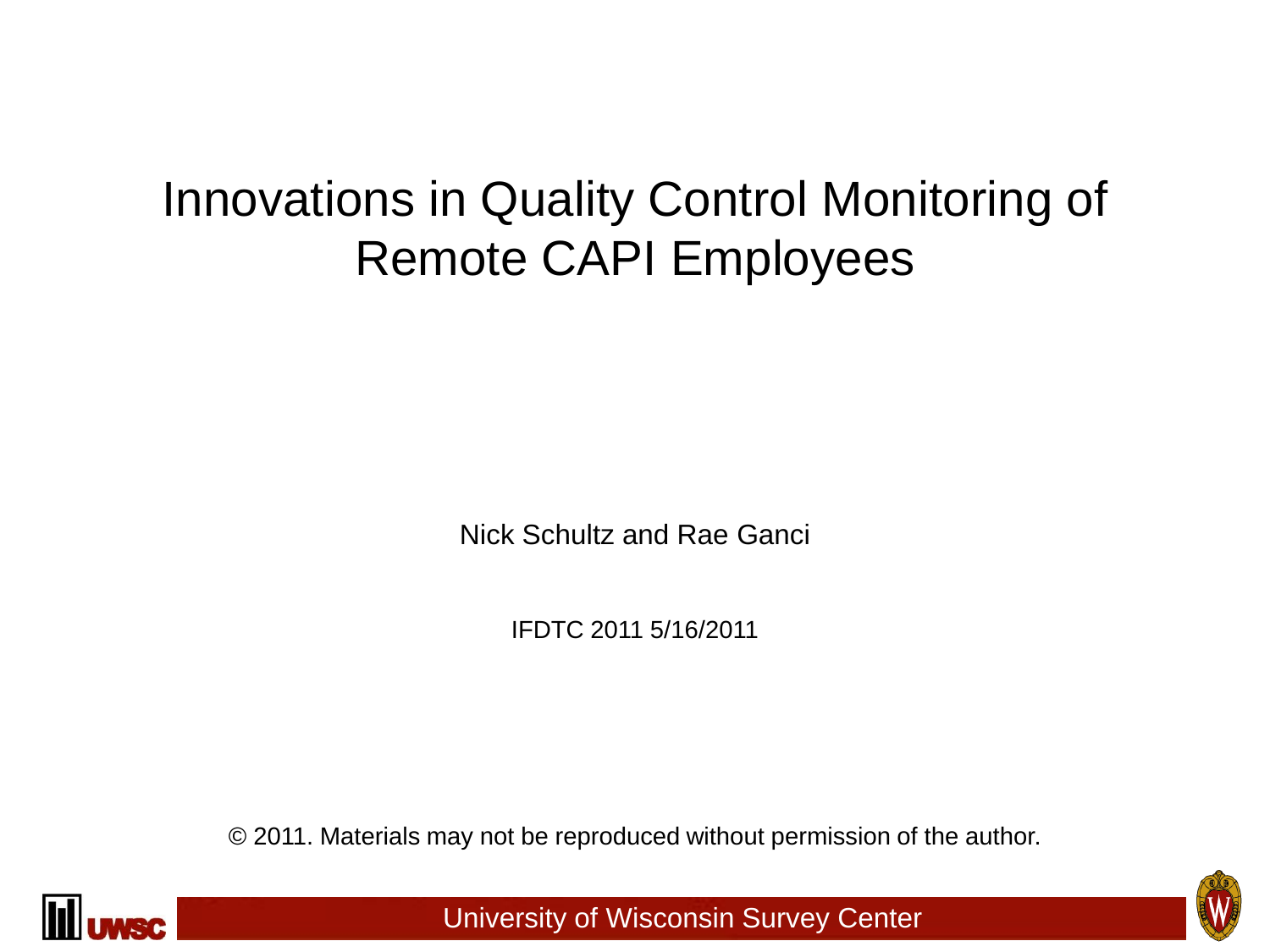# Innovations in Quality Control Monitoring of Remote CAPI Employees

Nick Schultz and Rae Ganci

IFDTC 2011 5/16/2011

© 2011. Materials may not be reproduced without permission of the author.



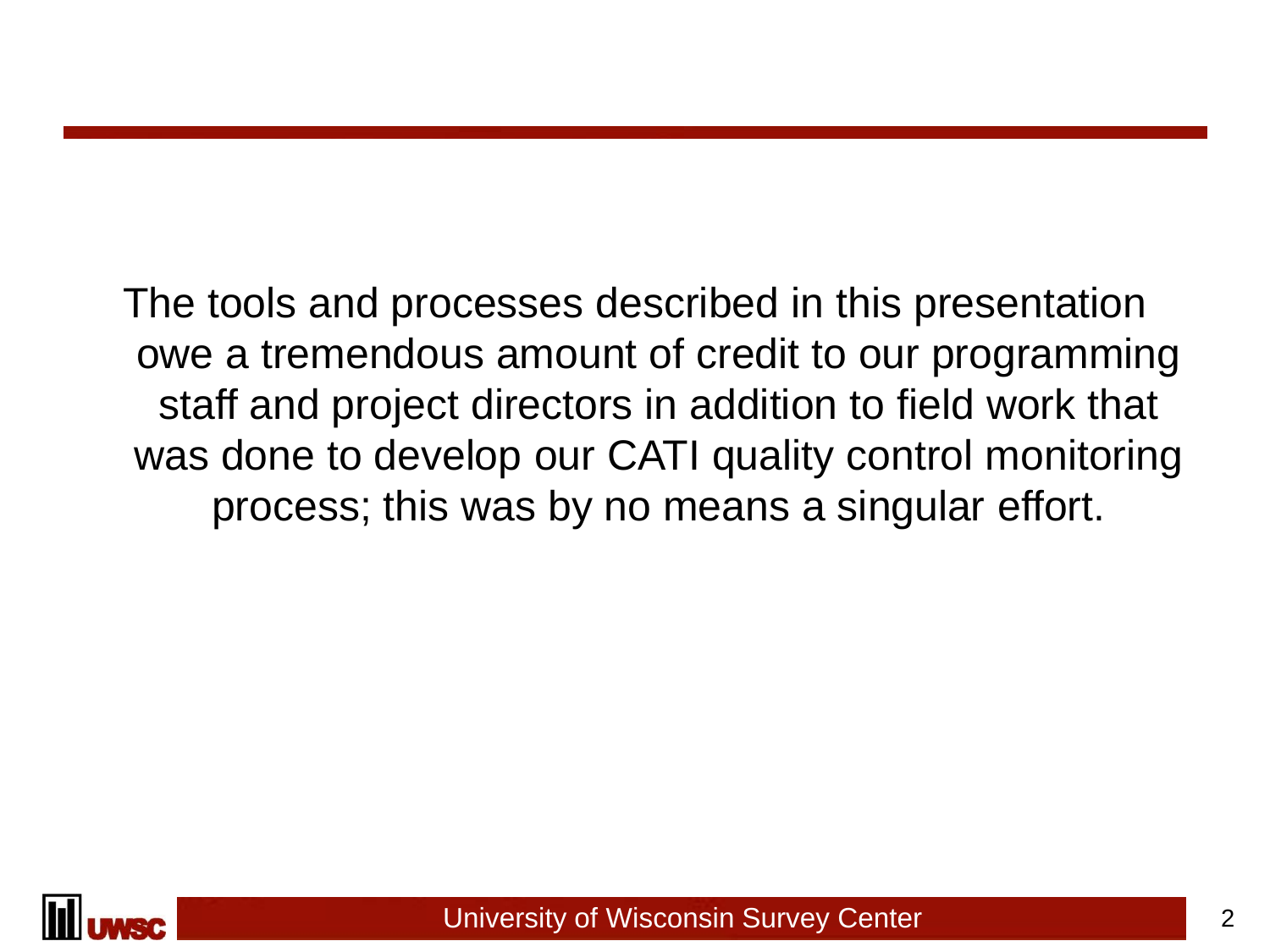The tools and processes described in this presentation owe a tremendous amount of credit to our programming staff and project directors in addition to field work that was done to develop our CATI quality control monitoring process; this was by no means a singular effort.

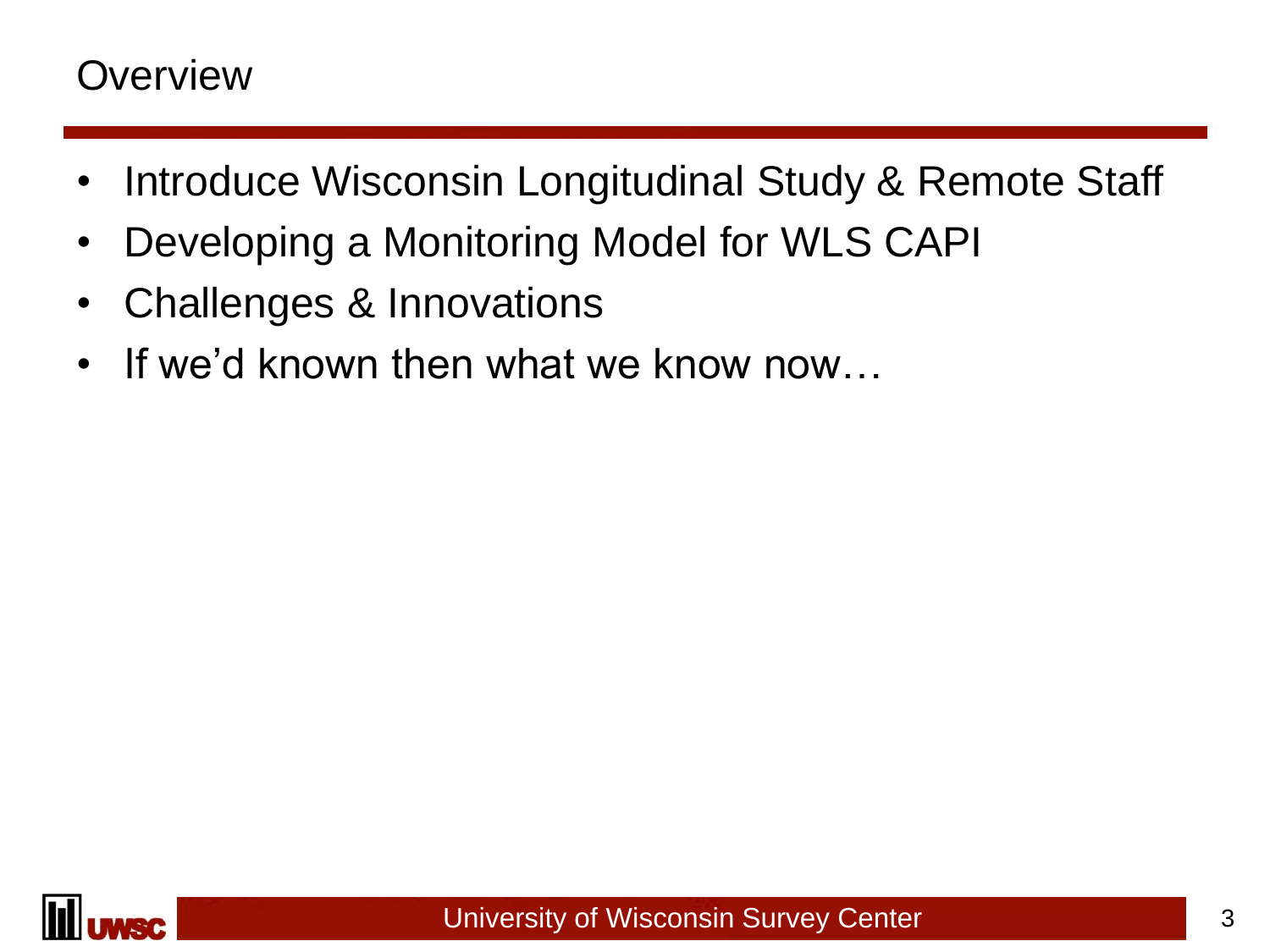### **Overview**

- Introduce Wisconsin Longitudinal Study & Remote Staff
- Developing a Monitoring Model for WLS CAPI
- Challenges & Innovations
- If we'd known then what we know now…

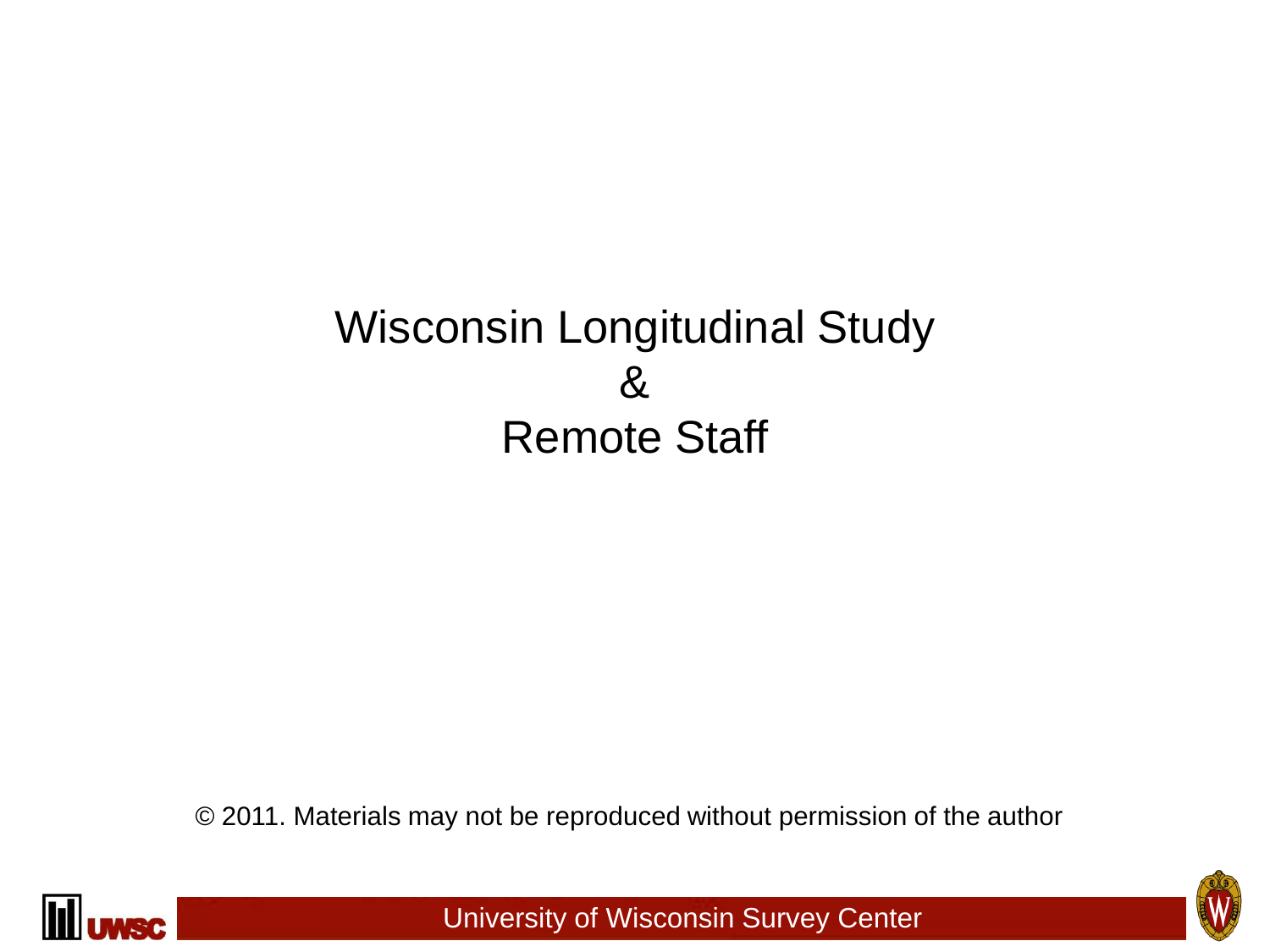## Wisconsin Longitudinal Study & Remote Staff

© 2011. Materials may not be reproduced without permission of the author



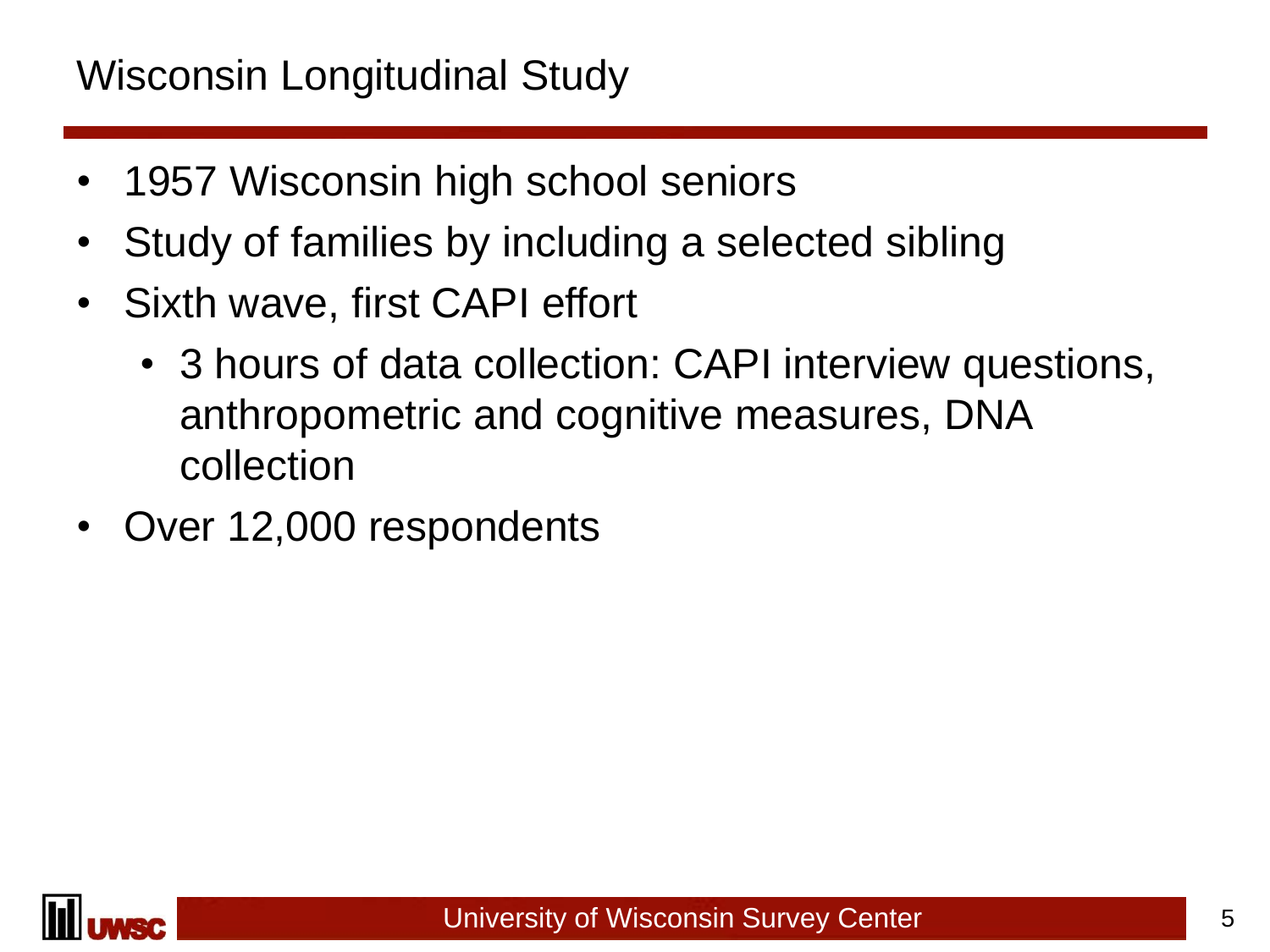### Wisconsin Longitudinal Study

- 1957 Wisconsin high school seniors
- Study of families by including a selected sibling
- Sixth wave, first CAPI effort
	- 3 hours of data collection: CAPI interview questions, anthropometric and cognitive measures, DNA collection
- Over 12,000 respondents

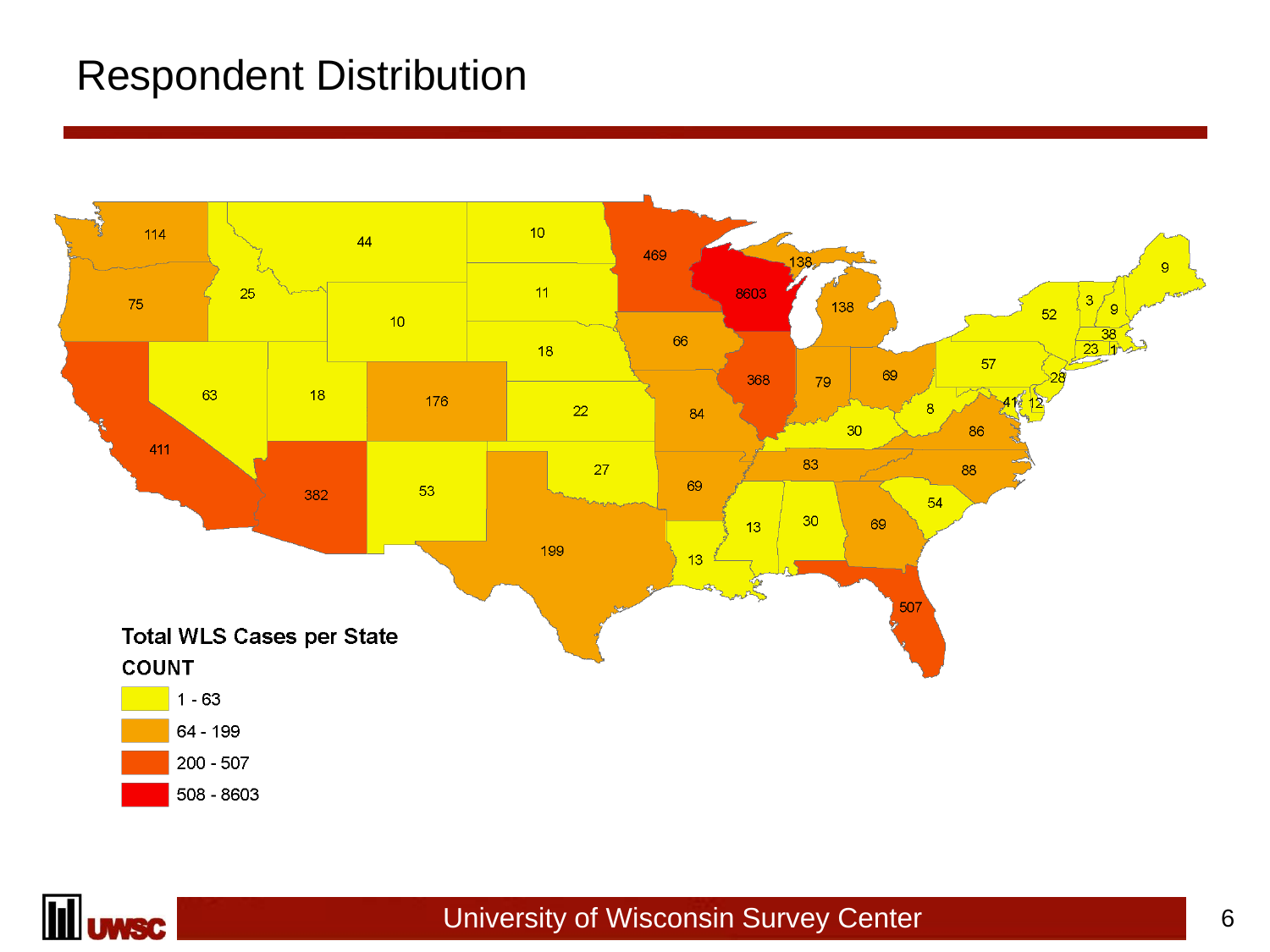### Respondent Distribution



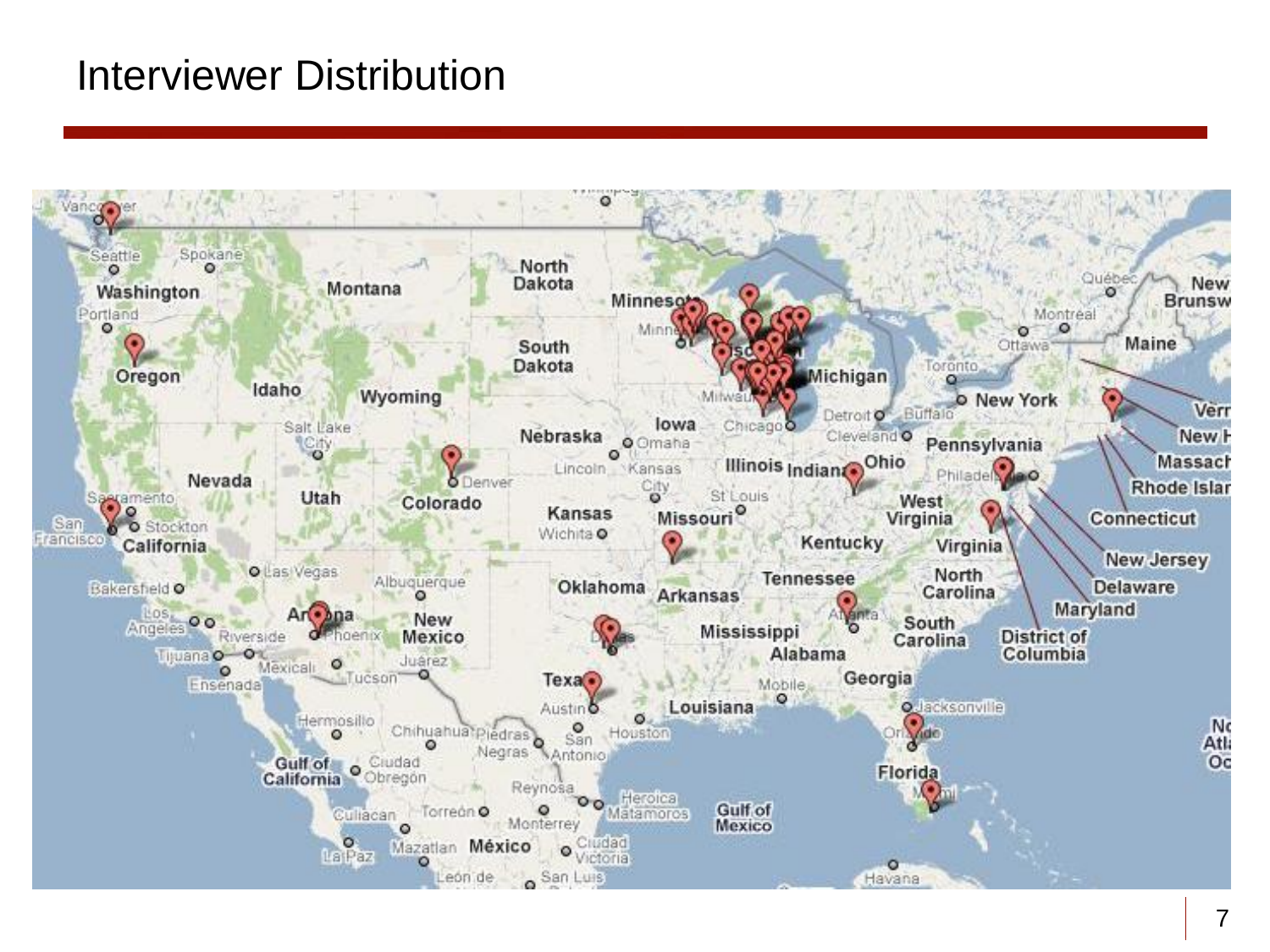### Interviewer Distribution

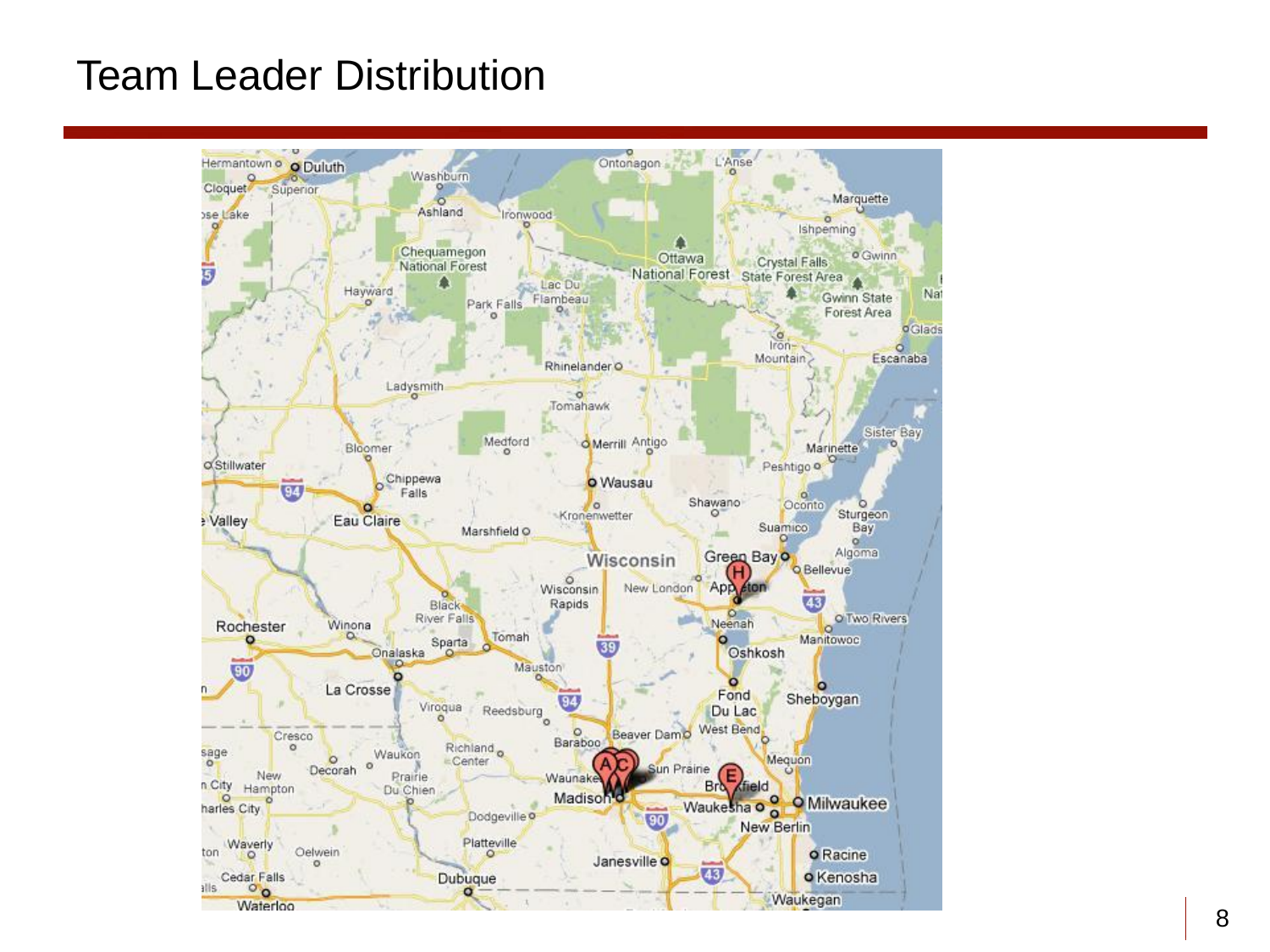### Team Leader Distribution

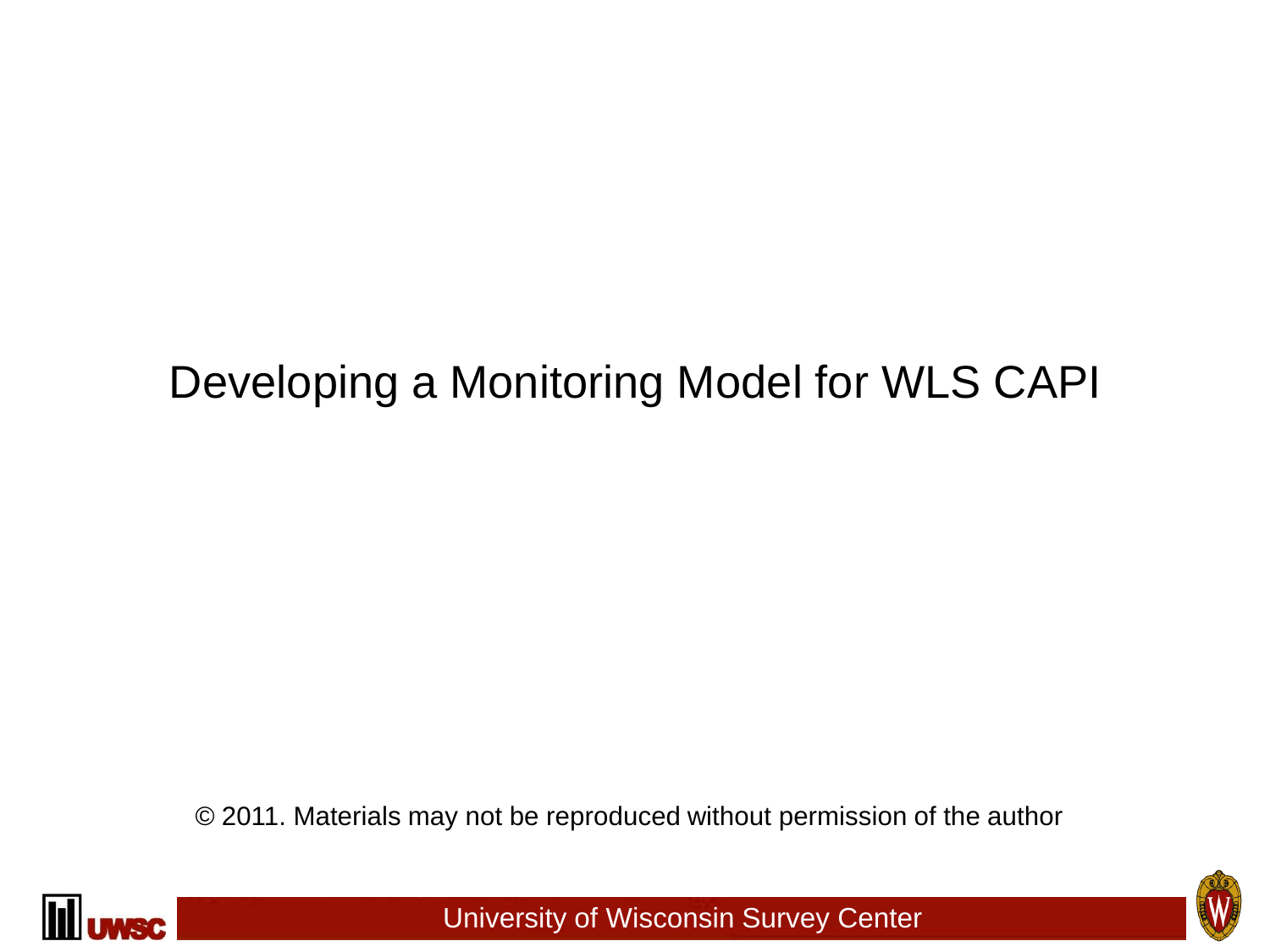## Developing a Monitoring Model for WLS CAPI

© 2011. Materials may not be reproduced without permission of the author



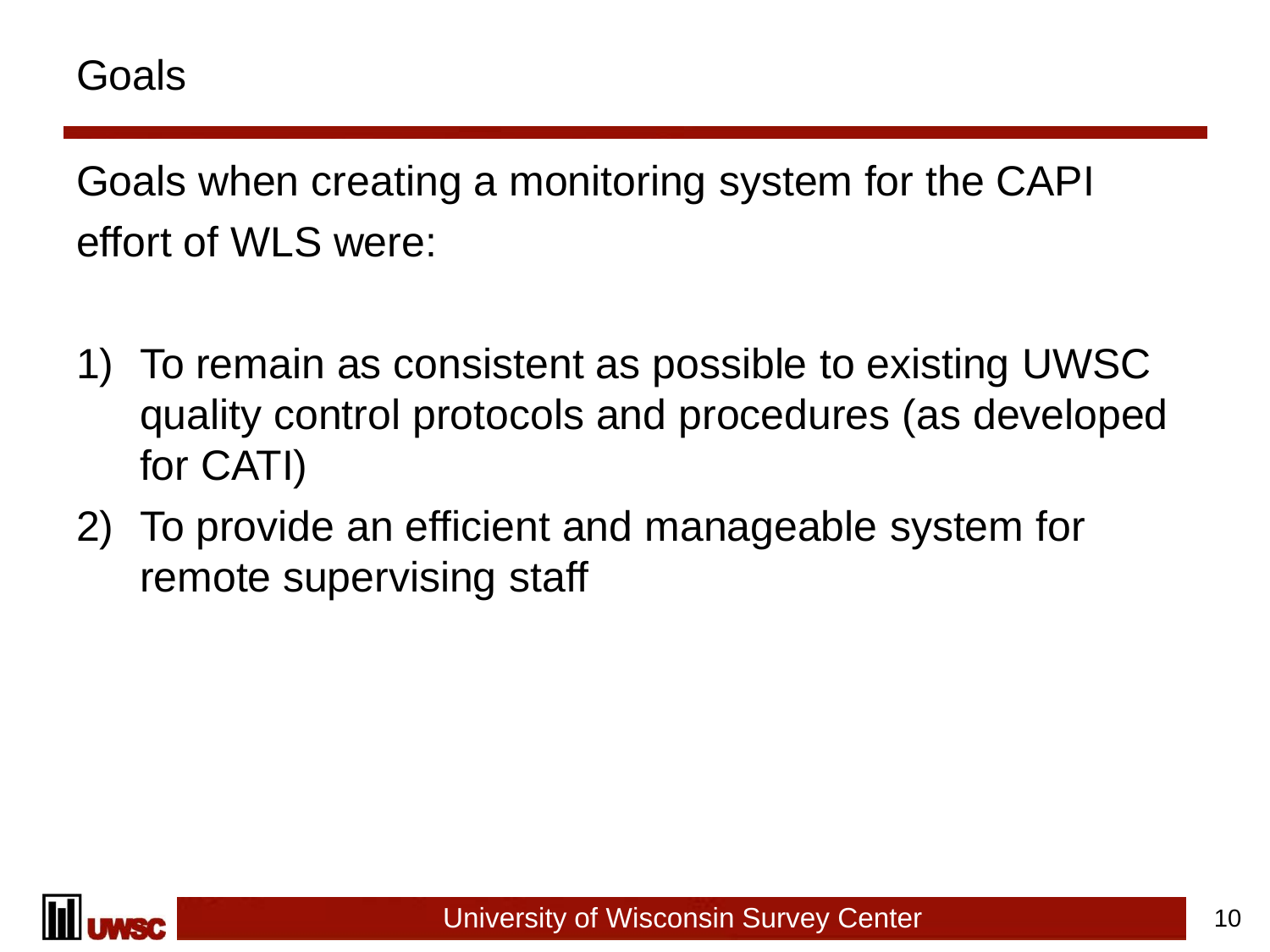Goals when creating a monitoring system for the CAPI effort of WLS were:

- 1) To remain as consistent as possible to existing UWSC quality control protocols and procedures (as developed for CATI)
- 2) To provide an efficient and manageable system for remote supervising staff

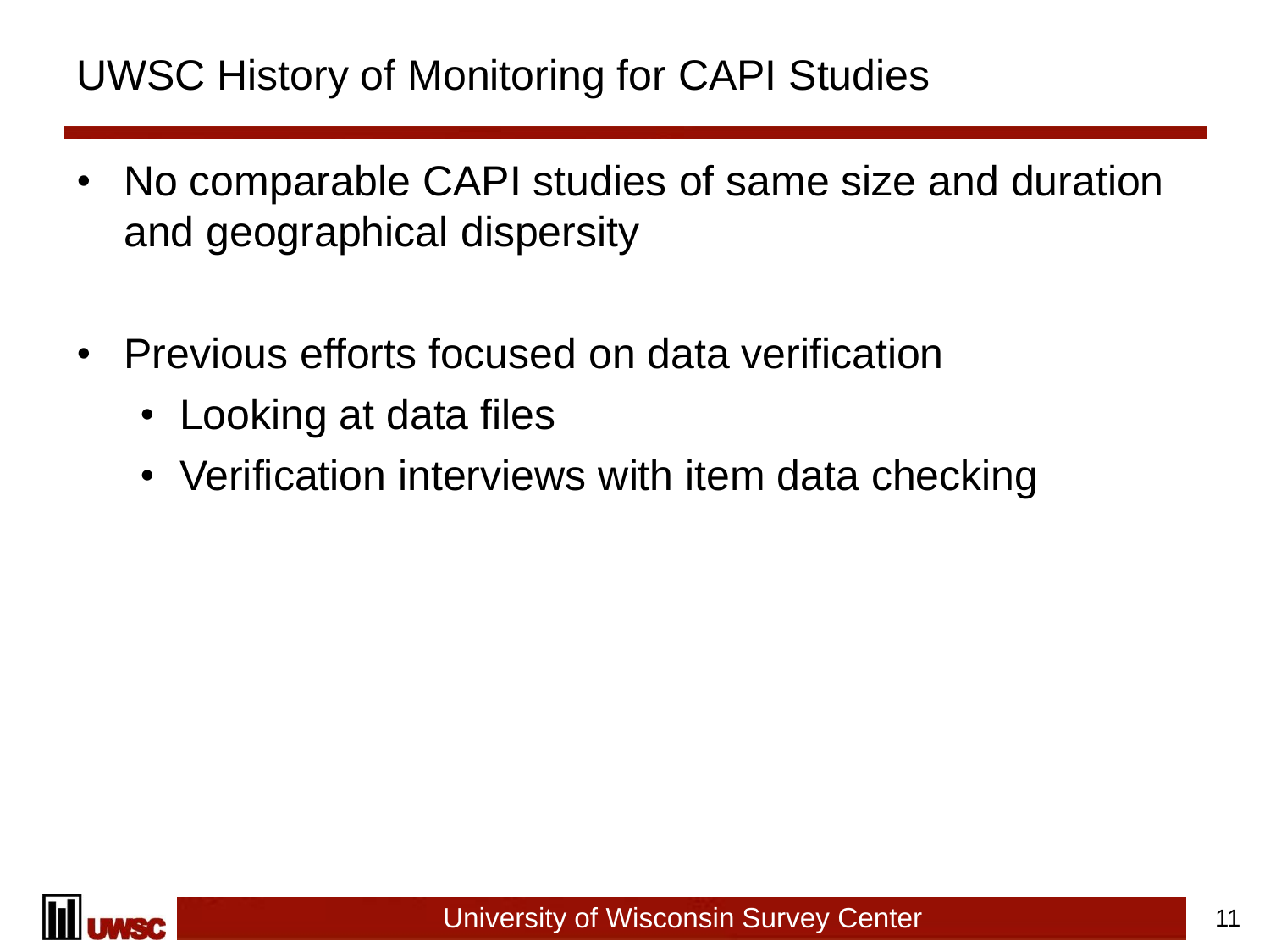## UWSC History of Monitoring for CAPI Studies

- No comparable CAPI studies of same size and duration and geographical dispersity
- Previous efforts focused on data verification
	- Looking at data files
	- Verification interviews with item data checking

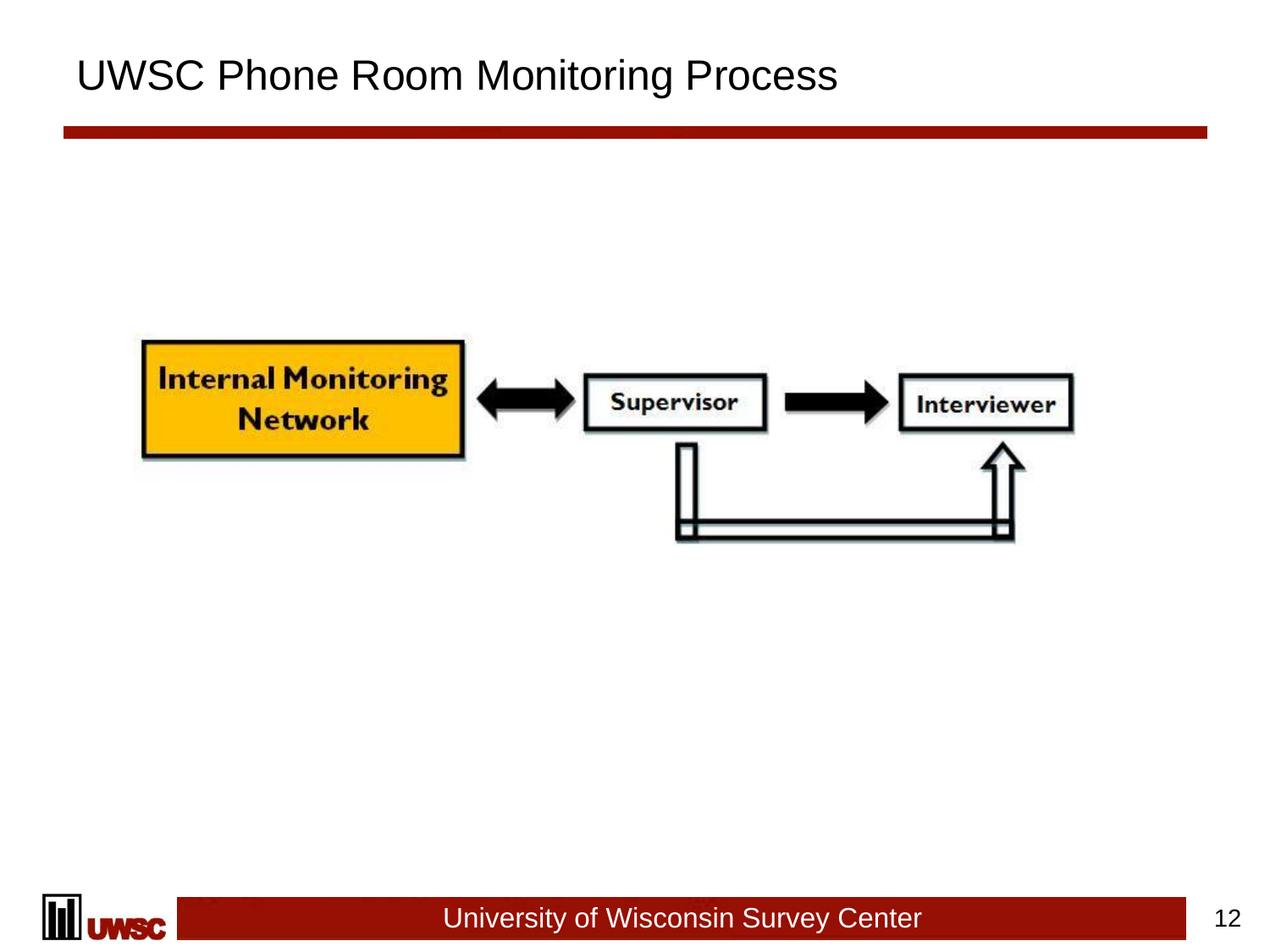### UWSC Phone Room Monitoring Process



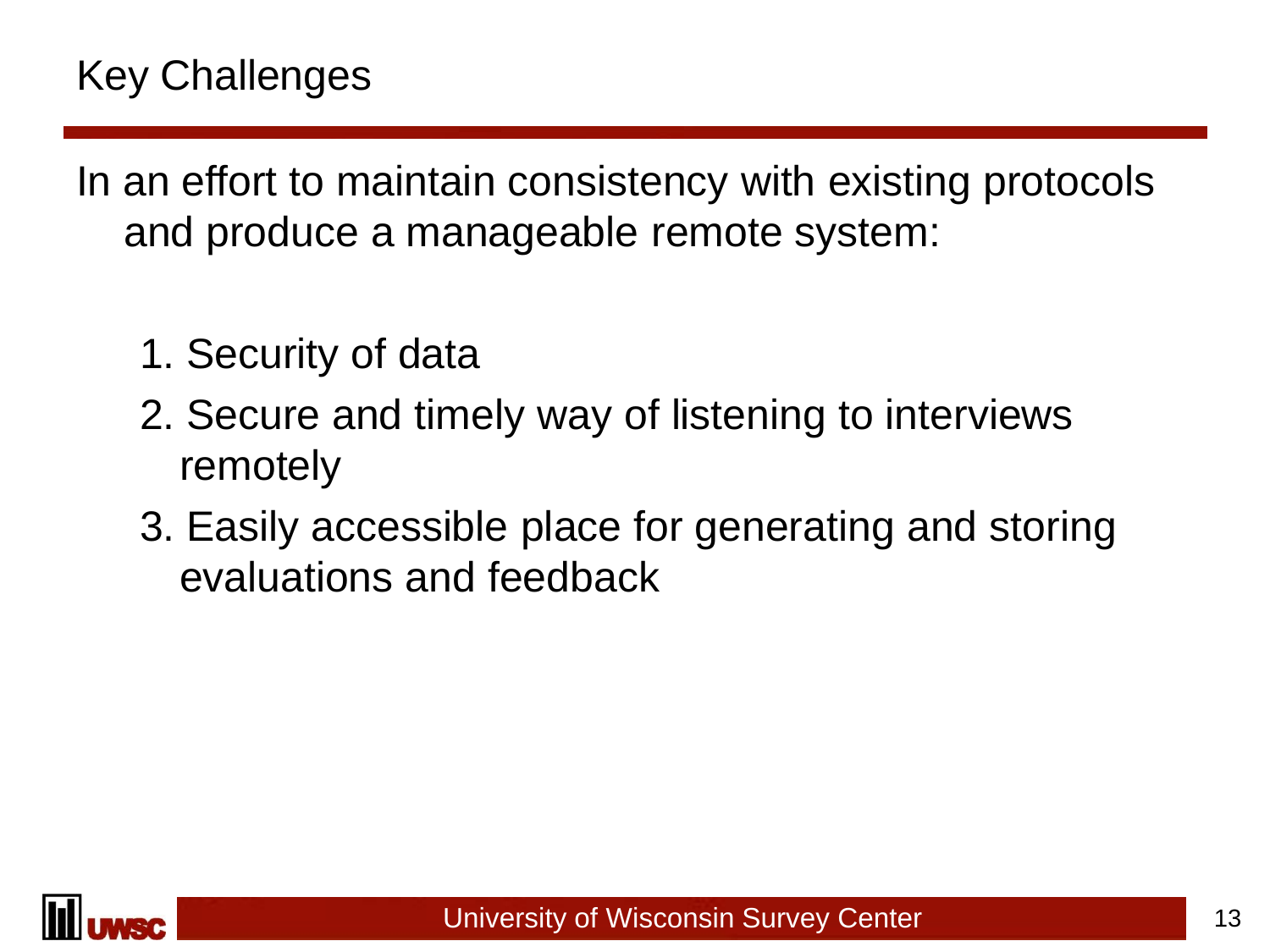In an effort to maintain consistency with existing protocols and produce a manageable remote system:

- 1. Security of data
- 2. Secure and timely way of listening to interviews remotely
- 3. Easily accessible place for generating and storing evaluations and feedback

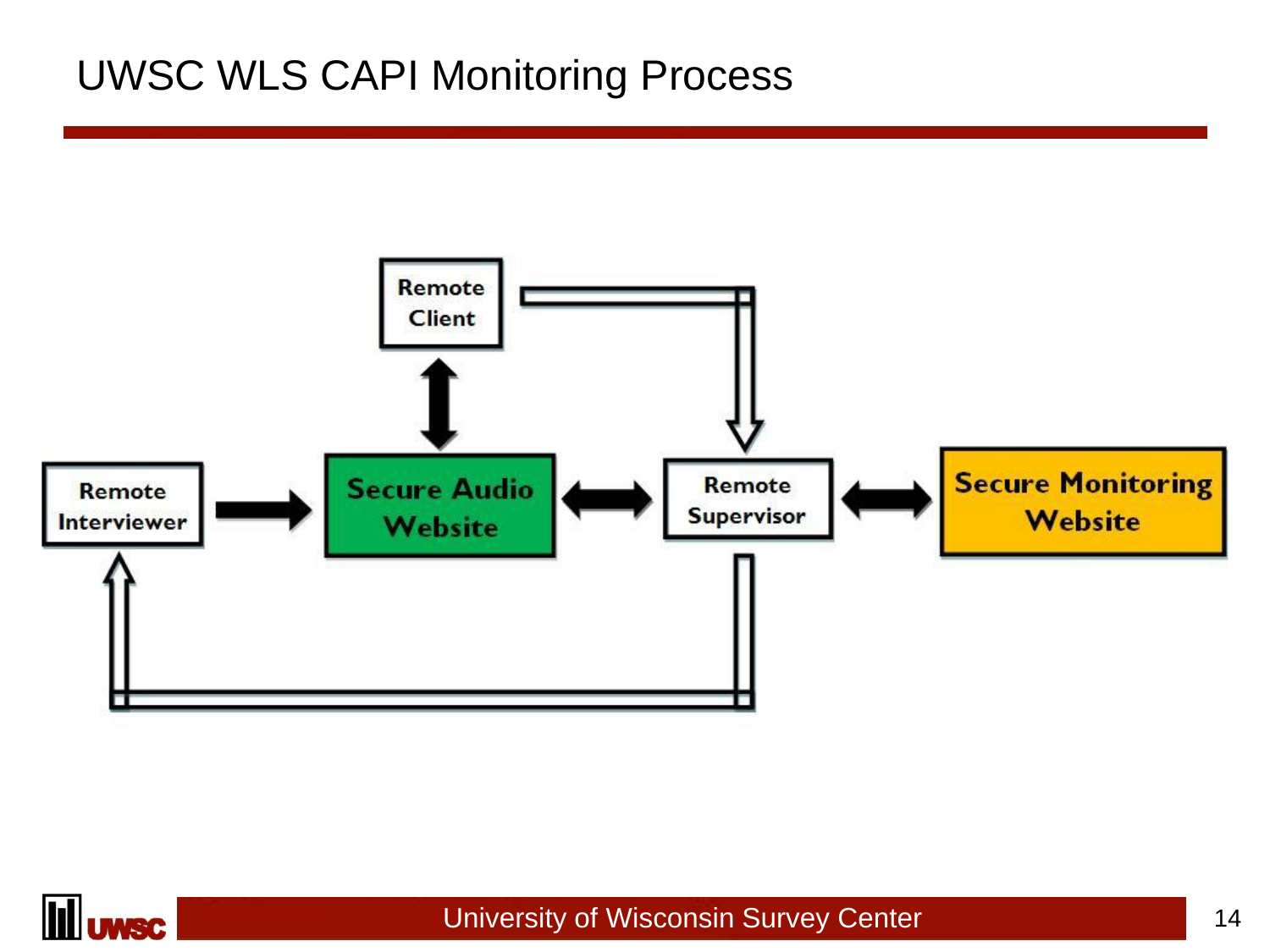### UWSC WLS CAPI Monitoring Process



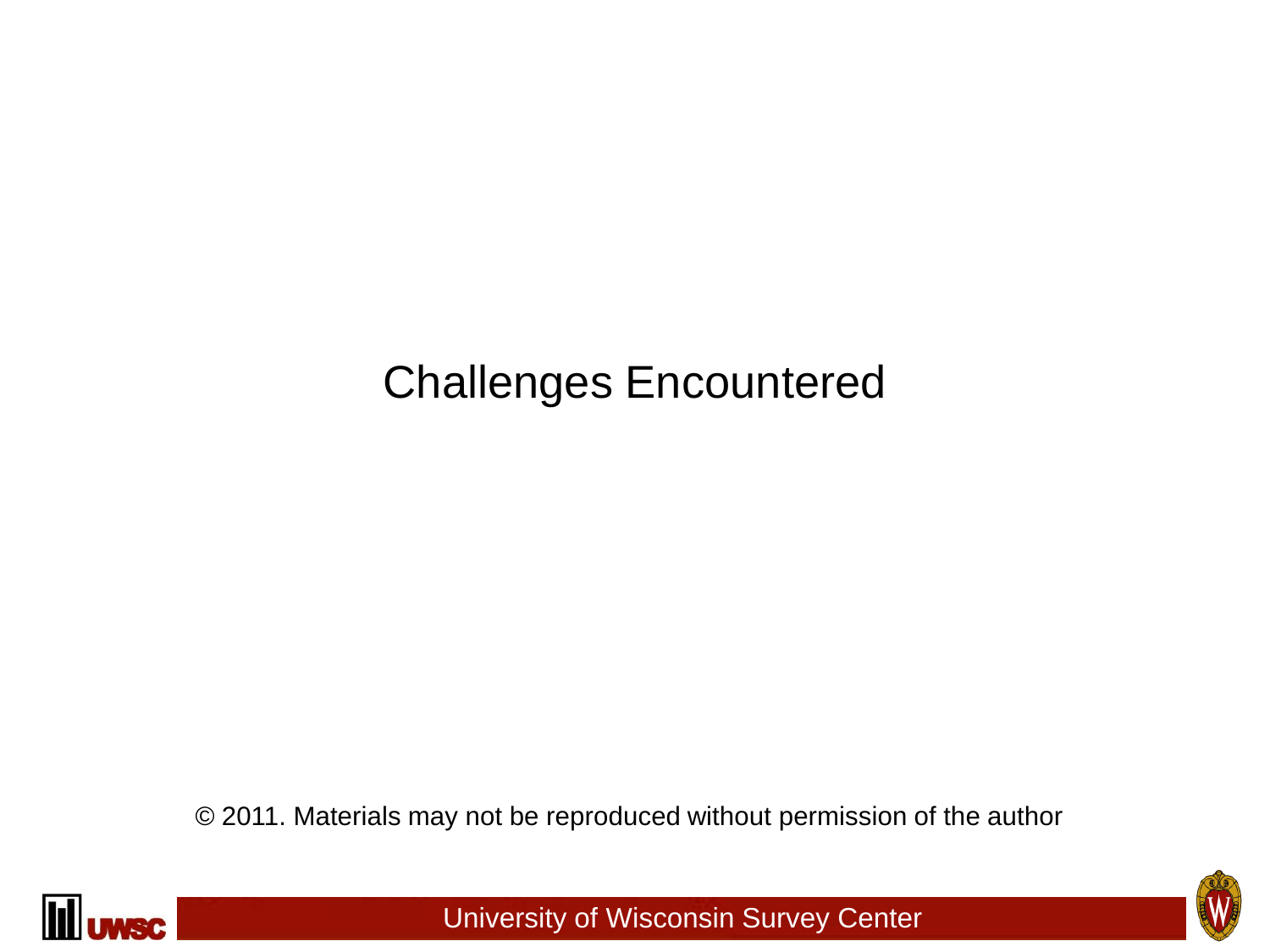## Challenges Encountered

© 2011. Materials may not be reproduced without permission of the author



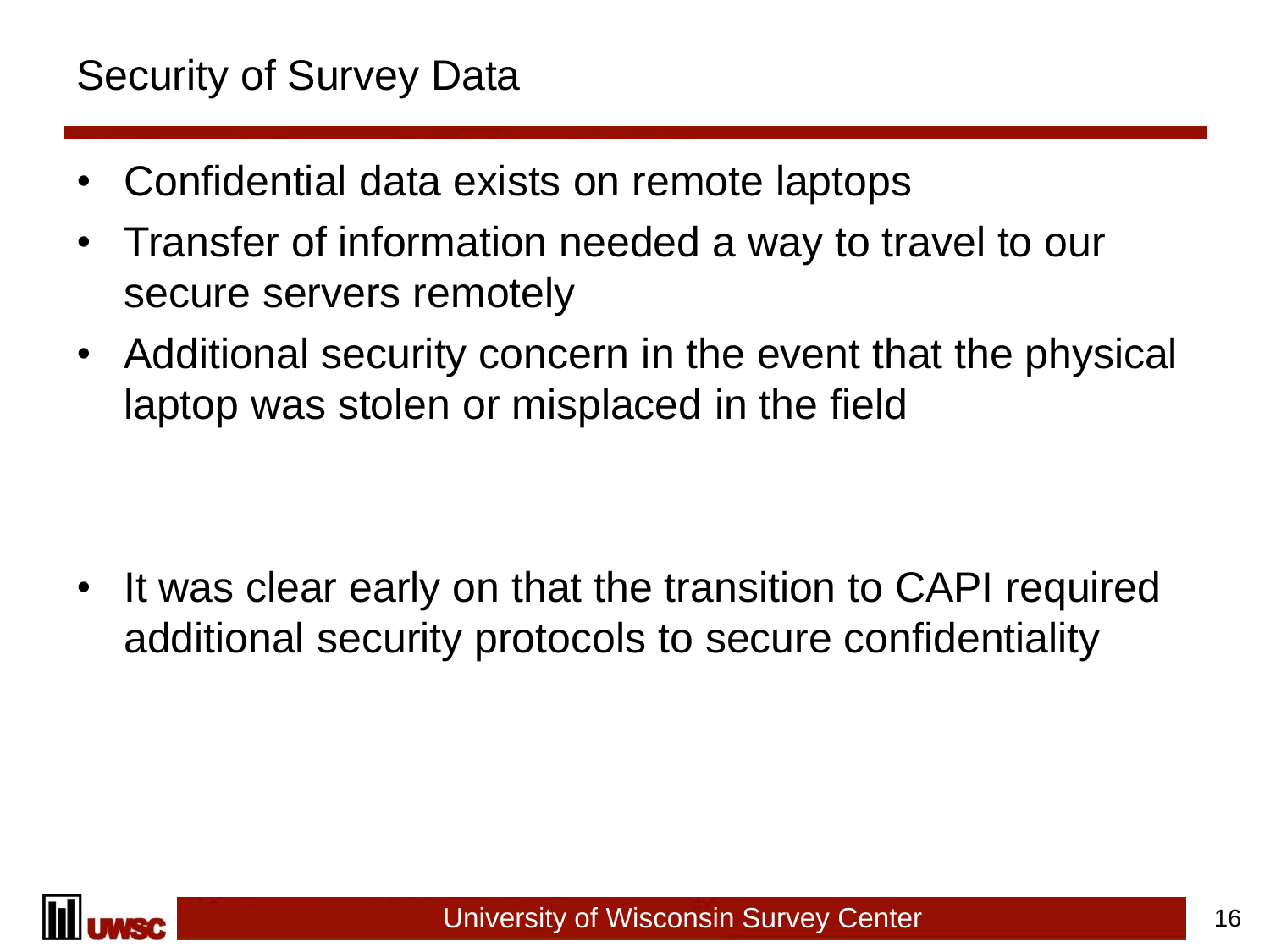### Security of Survey Data

- Confidential data exists on remote laptops
- Transfer of information needed a way to travel to our secure servers remotely
- Additional security concern in the event that the physical laptop was stolen or misplaced in the field

• It was clear early on that the transition to CAPI required additional security protocols to secure confidentiality

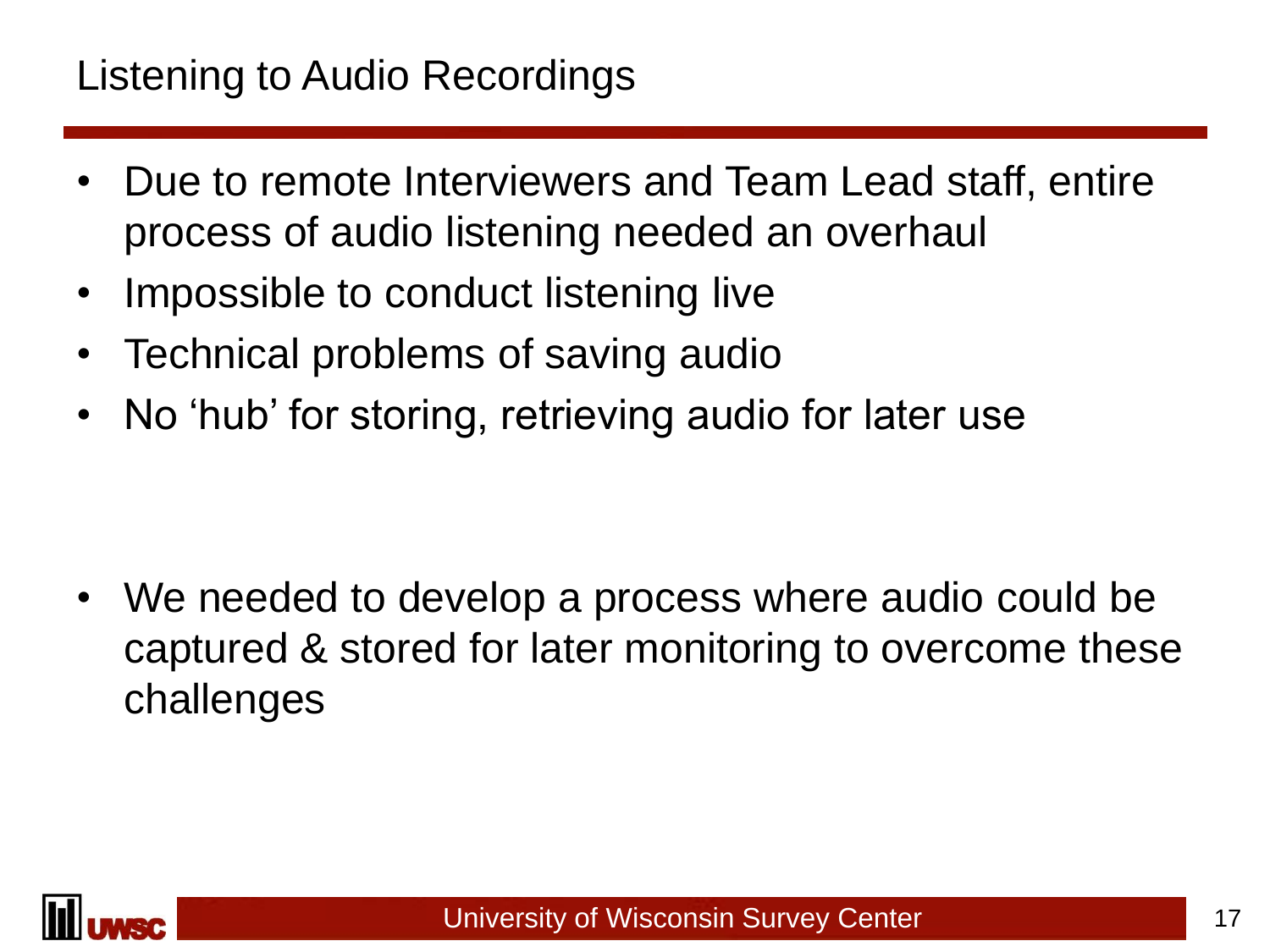- Due to remote Interviewers and Team Lead staff, entire process of audio listening needed an overhaul
- Impossible to conduct listening live
- Technical problems of saving audio
- No 'hub' for storing, retrieving audio for later use

• We needed to develop a process where audio could be captured & stored for later monitoring to overcome these challenges

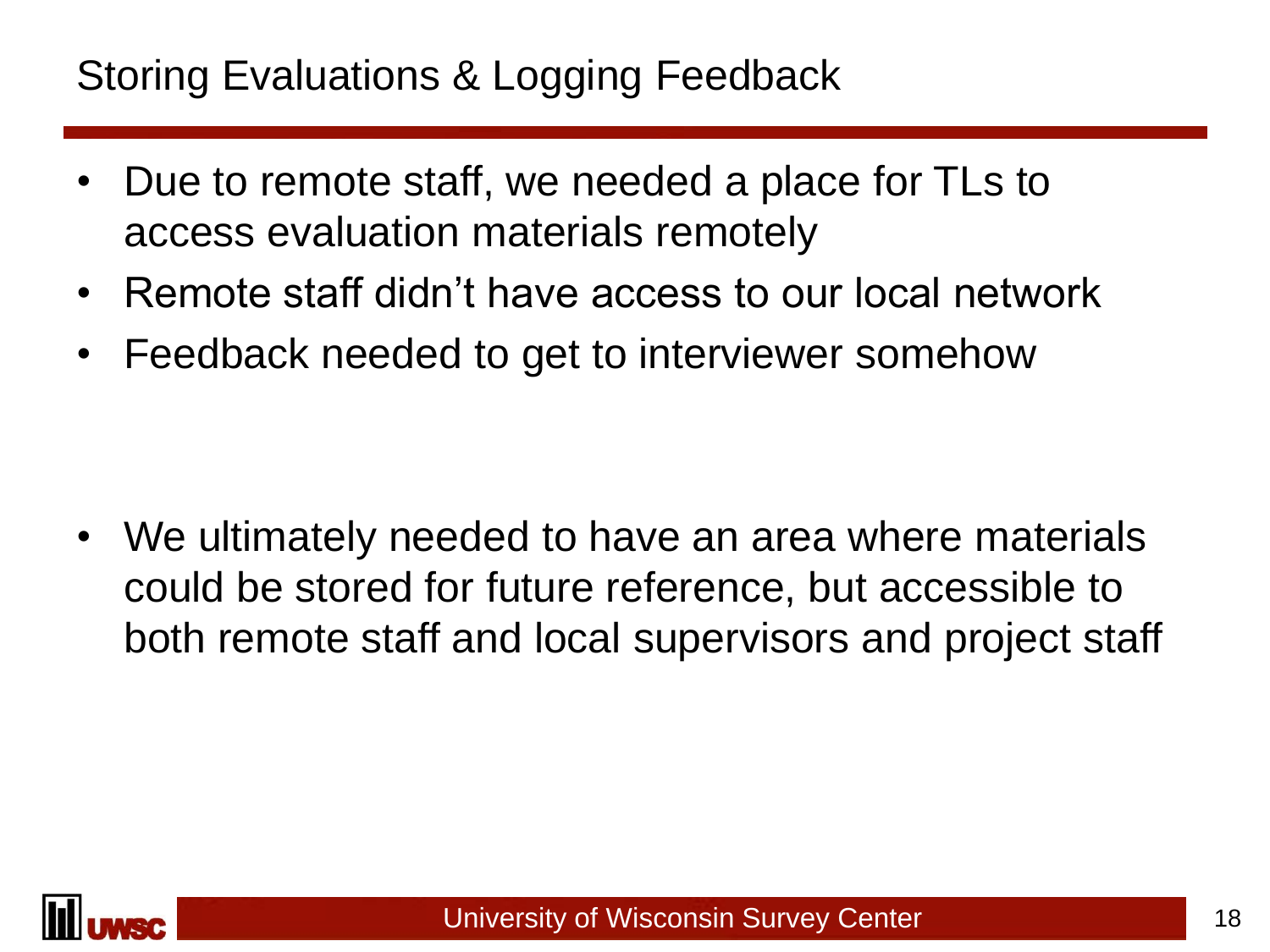### Storing Evaluations & Logging Feedback

- Due to remote staff, we needed a place for TLs to access evaluation materials remotely
- Remote staff didn't have access to our local network
- Feedback needed to get to interviewer somehow

• We ultimately needed to have an area where materials could be stored for future reference, but accessible to both remote staff and local supervisors and project staff

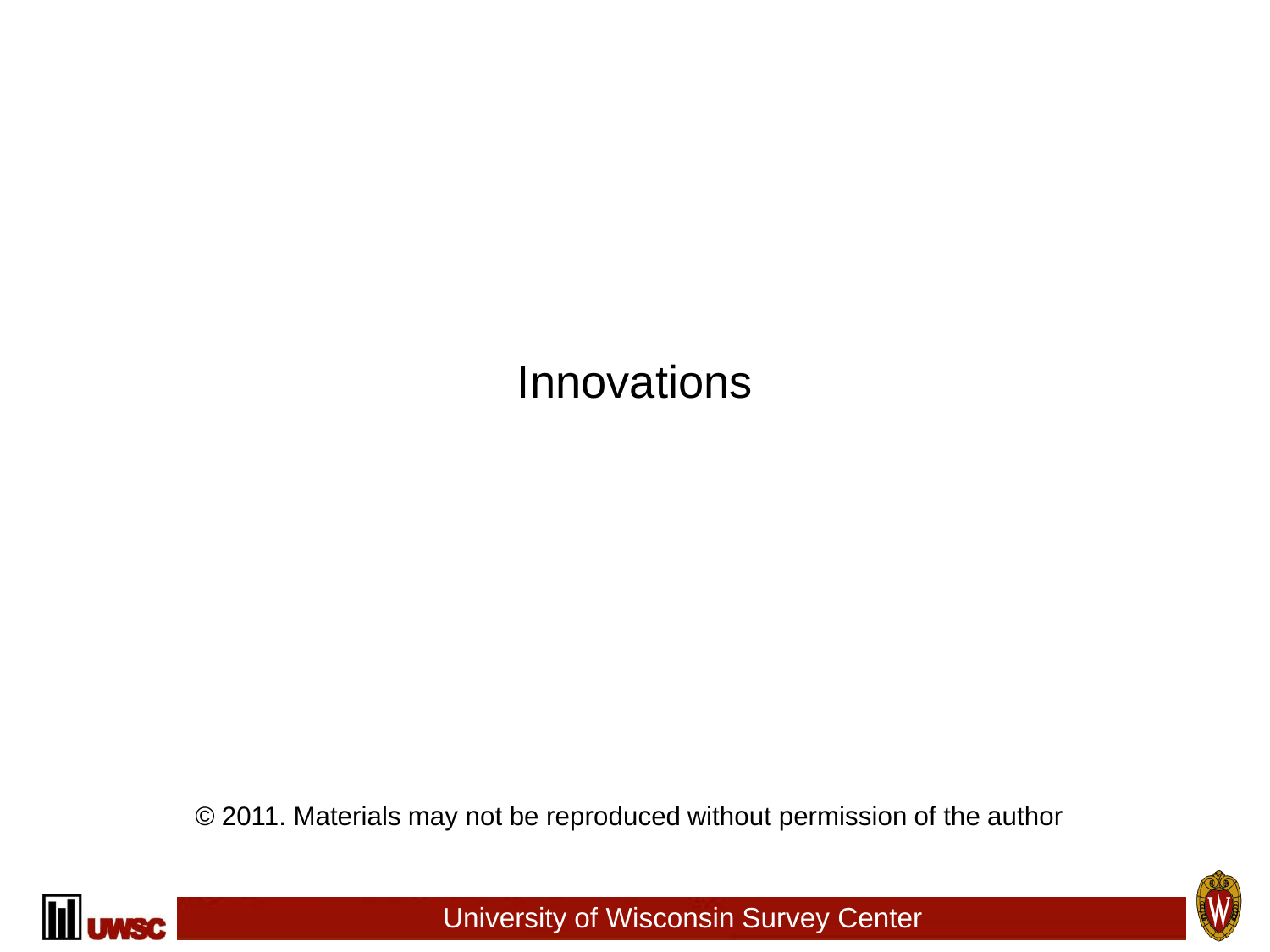## Innovations

© 2011. Materials may not be reproduced without permission of the author



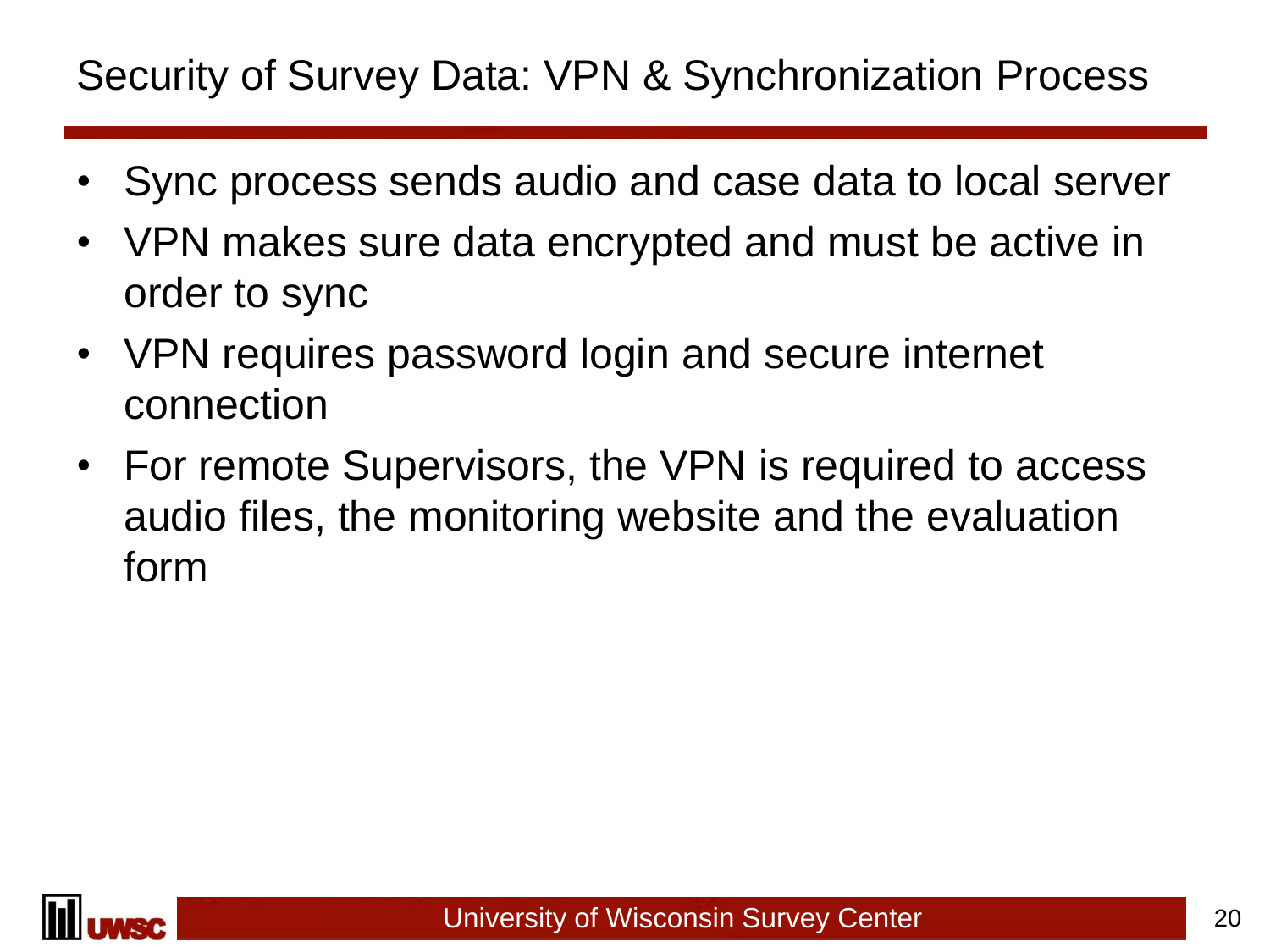### Security of Survey Data: VPN & Synchronization Process

- Sync process sends audio and case data to local server
- VPN makes sure data encrypted and must be active in order to sync
- VPN requires password login and secure internet connection
- For remote Supervisors, the VPN is required to access audio files, the monitoring website and the evaluation form

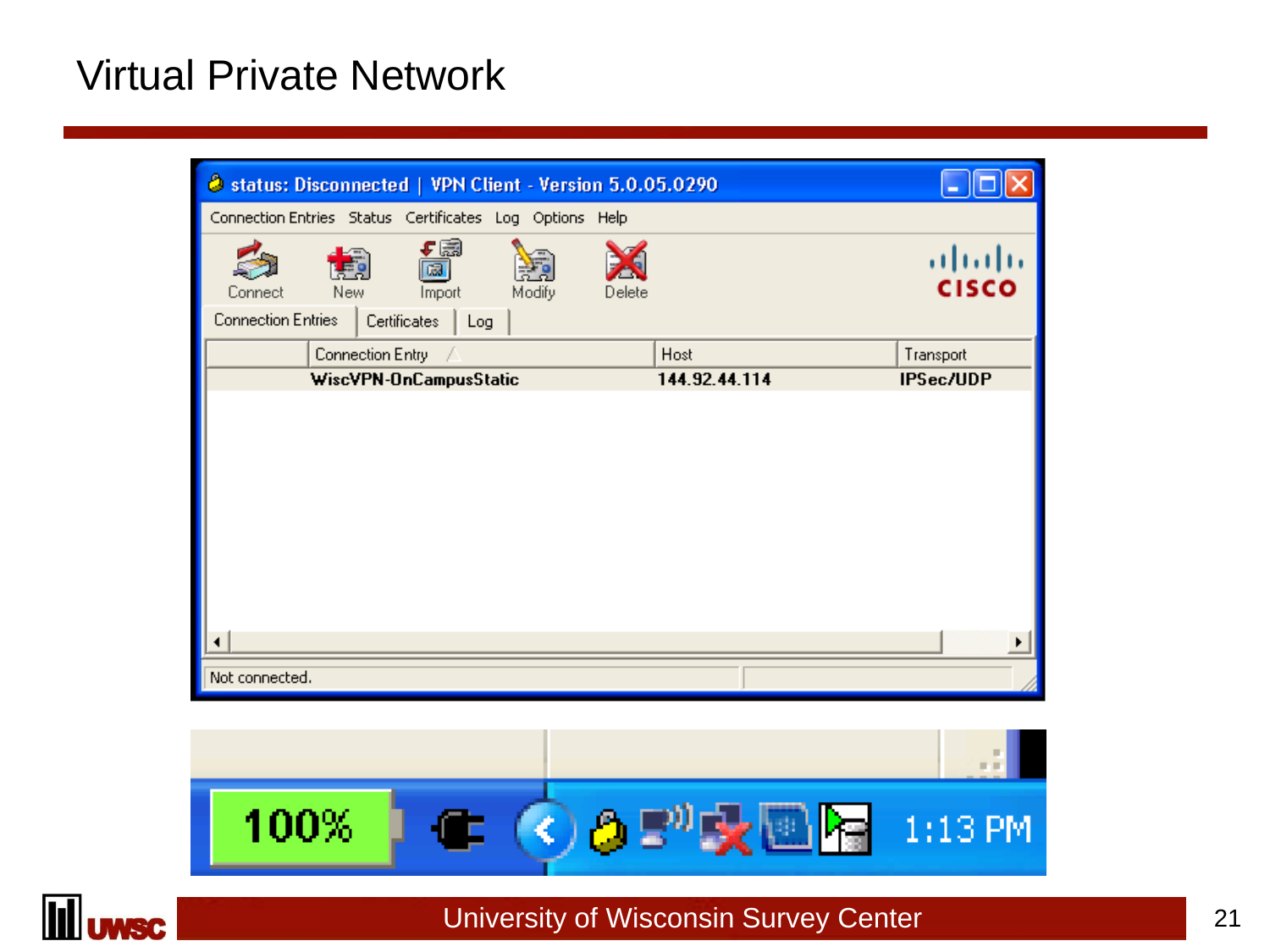### Virtual Private Network

| Connection Entries Status Certificates Log Options Help<br>⊊⊠<br>ahaha<br>$\bar{\mathbb{Z}}$<br><b>CISCO</b><br><b>New</b><br>Delete<br>Modify<br>Import<br>Connect<br><b>Connection Entries</b><br>Certificates<br>Log<br>Connection Entry<br>Host<br>Transport<br>-7<br><b>IPSec/UDP</b><br>WiscVPN-OnCampusStatic<br>144.92.44.114<br>$\blacktriangleleft$ | Status: Disconnected   VPN Client - Version 5.0.05.0290 |  |
|---------------------------------------------------------------------------------------------------------------------------------------------------------------------------------------------------------------------------------------------------------------------------------------------------------------------------------------------------------------|---------------------------------------------------------|--|
|                                                                                                                                                                                                                                                                                                                                                               |                                                         |  |
|                                                                                                                                                                                                                                                                                                                                                               |                                                         |  |
|                                                                                                                                                                                                                                                                                                                                                               |                                                         |  |
|                                                                                                                                                                                                                                                                                                                                                               |                                                         |  |
|                                                                                                                                                                                                                                                                                                                                                               |                                                         |  |
|                                                                                                                                                                                                                                                                                                                                                               |                                                         |  |
| Not connected.                                                                                                                                                                                                                                                                                                                                                |                                                         |  |



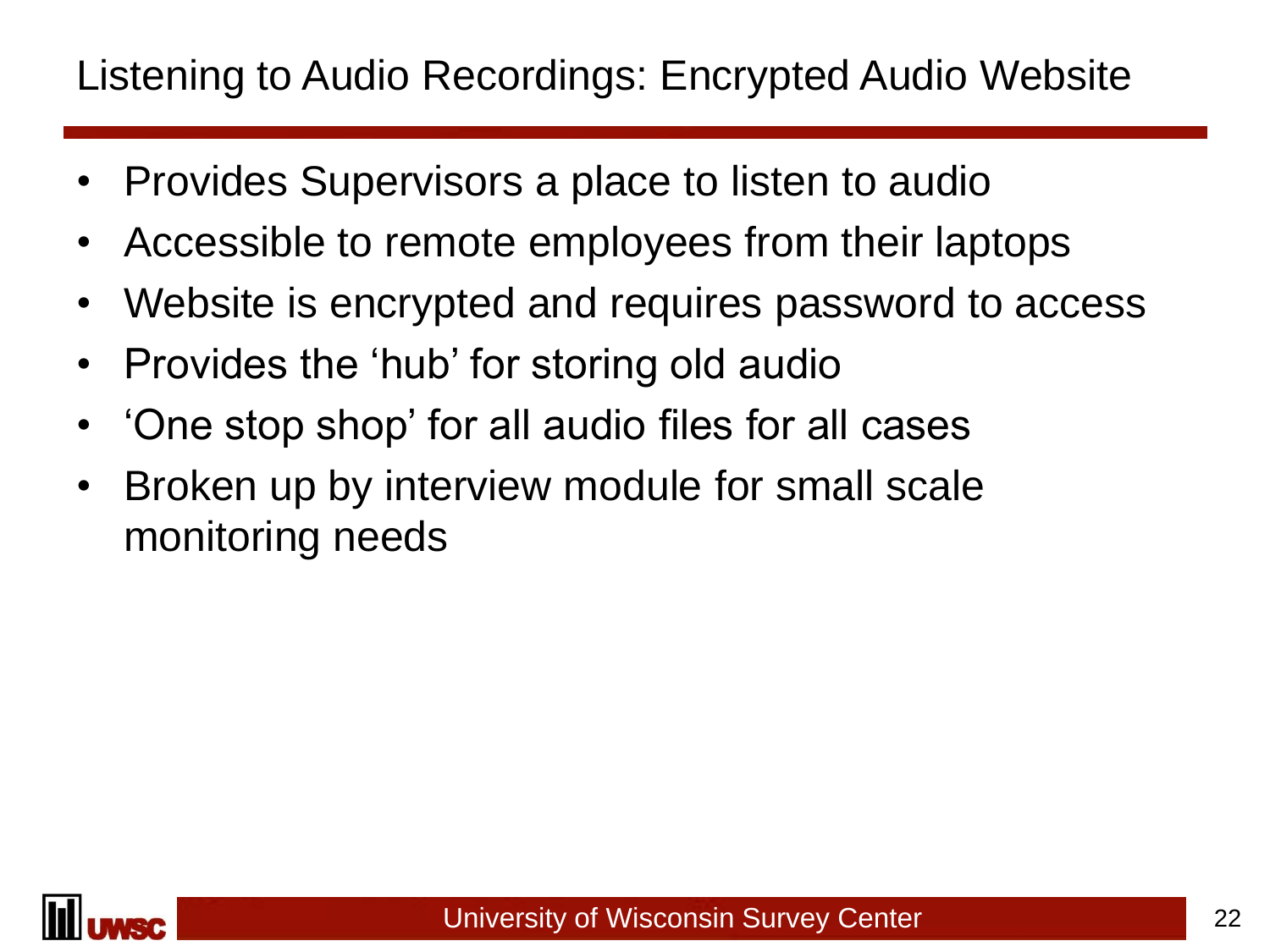### Listening to Audio Recordings: Encrypted Audio Website

- Provides Supervisors a place to listen to audio
- Accessible to remote employees from their laptops
- Website is encrypted and requires password to access
- Provides the 'hub' for storing old audio
- 'One stop shop' for all audio files for all cases
- Broken up by interview module for small scale monitoring needs

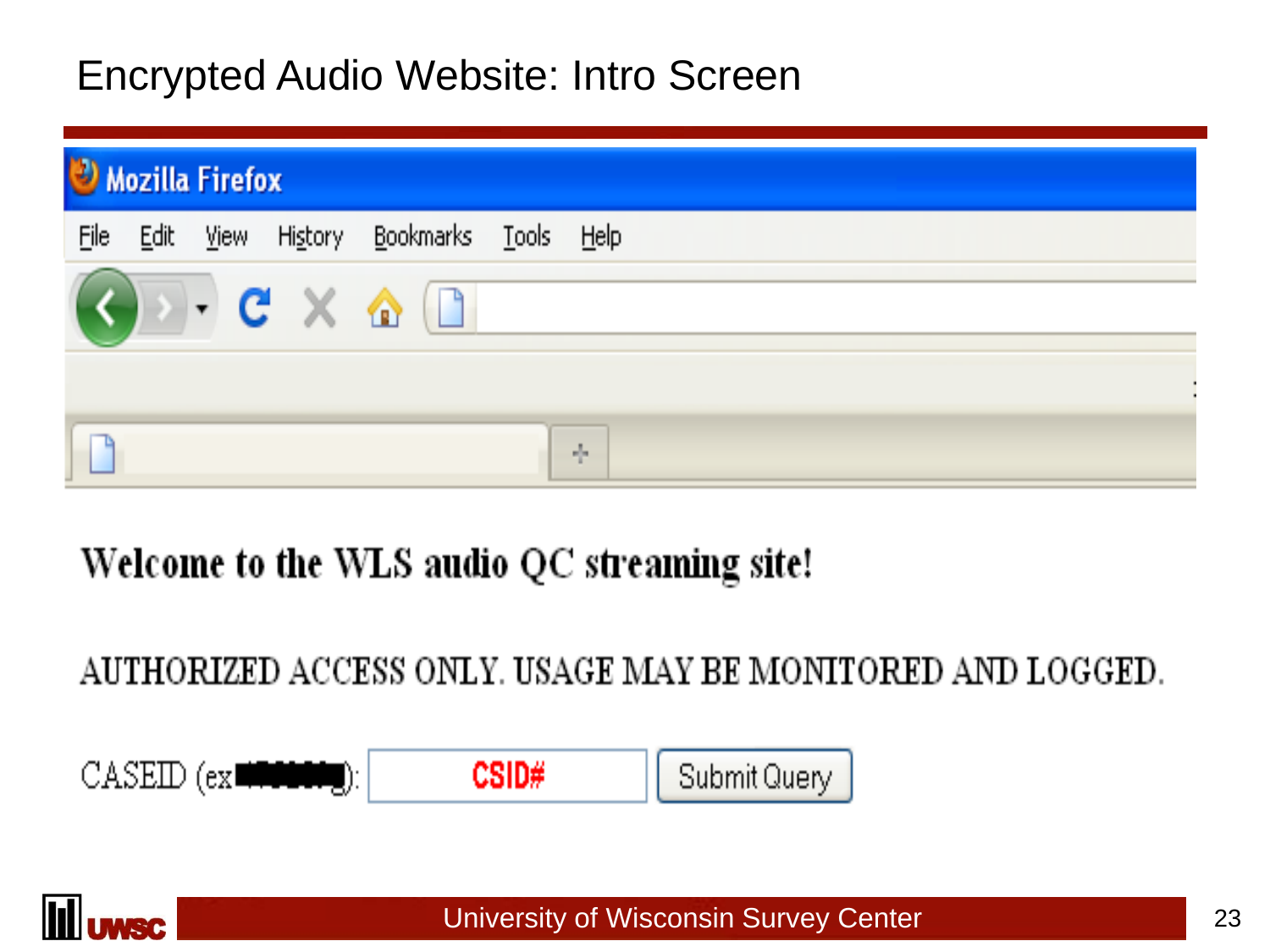### Encrypted Audio Website: Intro Screen

| Mozilla Firefox |      |             |                                        |           |                                |       |
|-----------------|------|-------------|----------------------------------------|-----------|--------------------------------|-------|
| File            | Edit | <b>View</b> | <b>History</b>                         | Bookmarks | $\overline{\phantom{a}}$ Tools | Help  |
|                 |      |             | $-$ C $\times$ $\hat{\mathbf{\Omega}}$ |           |                                |       |
|                 |      |             |                                        |           |                                |       |
|                 |      |             |                                        |           |                                | alja. |

### Welcome to the WLS audio QC streaming site!

### AUTHORIZED ACCESS ONLY. USAGE MAY BE MONITORED AND LOGGED.



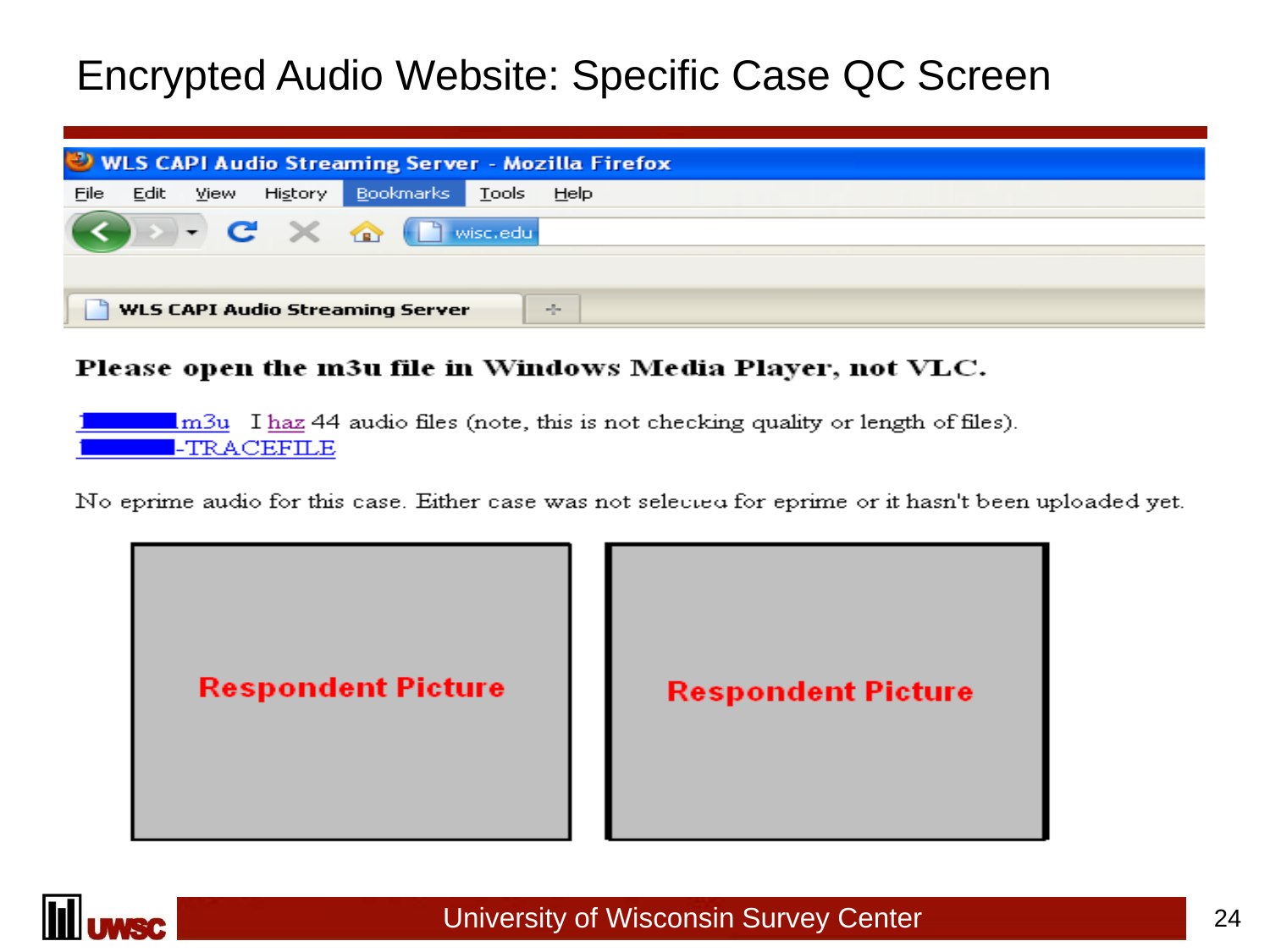### Encrypted Audio Website: Specific Case QC Screen

|      | VULS CAPI Audio Streaming Server - Mozilla Firefox              |      |         |           |              |             |  |
|------|-----------------------------------------------------------------|------|---------|-----------|--------------|-------------|--|
| File | Edit                                                            | View | History | Bookmarks | <b>Tools</b> | <b>Help</b> |  |
|      | $\bullet$ $\bullet$ $\times$ $\bullet$ $\bullet$ wisc.edu       |      |         |           |              |             |  |
|      |                                                                 |      |         |           |              |             |  |
|      | <b>WLS CAPI Audio Streaming Server</b><br>$\omega_{\rm{eff}}^2$ |      |         |           |              |             |  |

#### Please open the m3u file in Windows Media Player, not VLC.

 $\frac{\text{Im}3u}{\text{Im}3u}$  I haz 44 audio files (note, this is not checking quality or length of files). -TRACEFILE

No eprime audio for this case. Either case was not selected for eprime or it hasn't been uploaded yet.



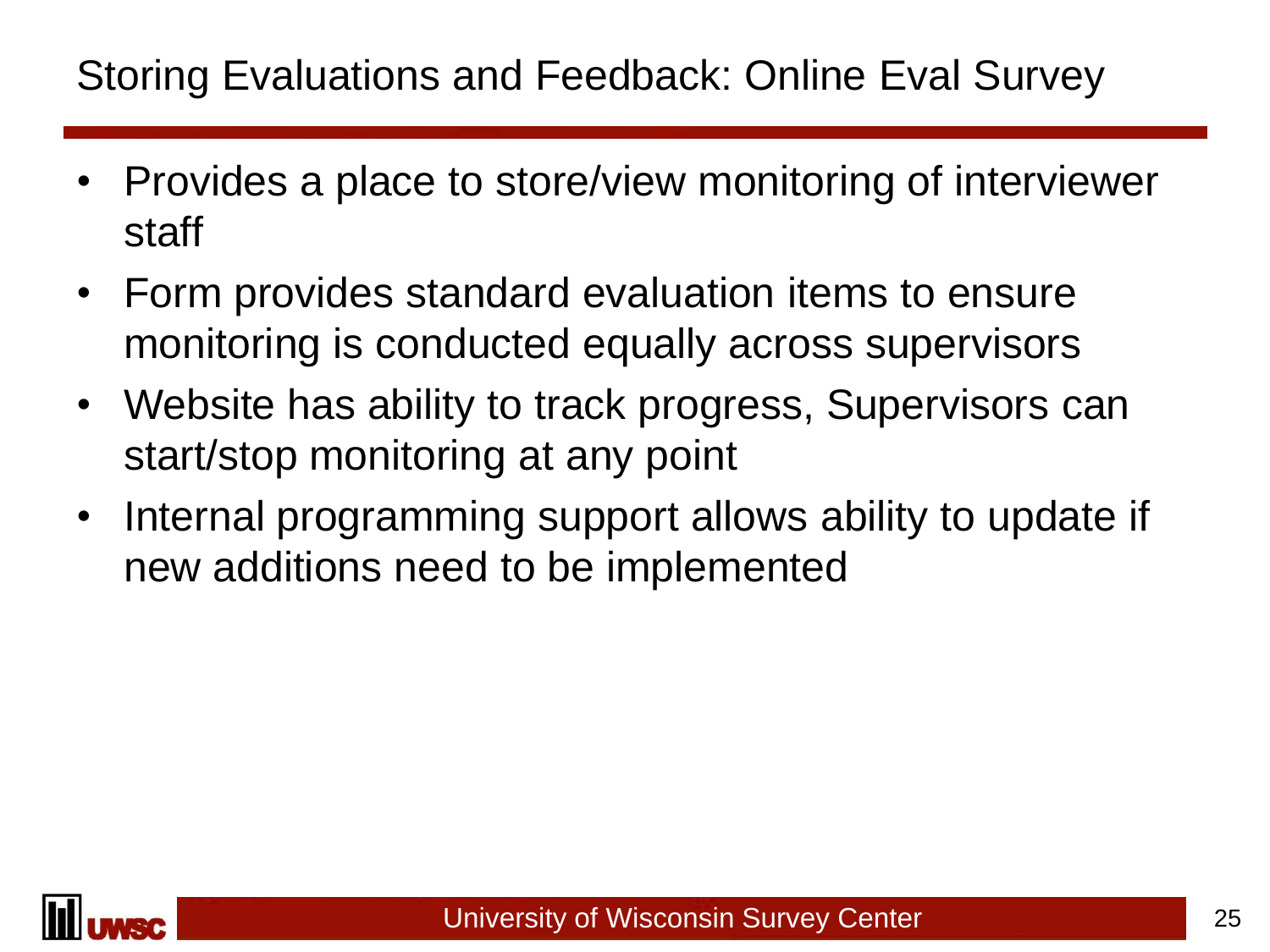### Storing Evaluations and Feedback: Online Eval Survey

- Provides a place to store/view monitoring of interviewer staff
- Form provides standard evaluation items to ensure monitoring is conducted equally across supervisors
- Website has ability to track progress, Supervisors can start/stop monitoring at any point
- Internal programming support allows ability to update if new additions need to be implemented

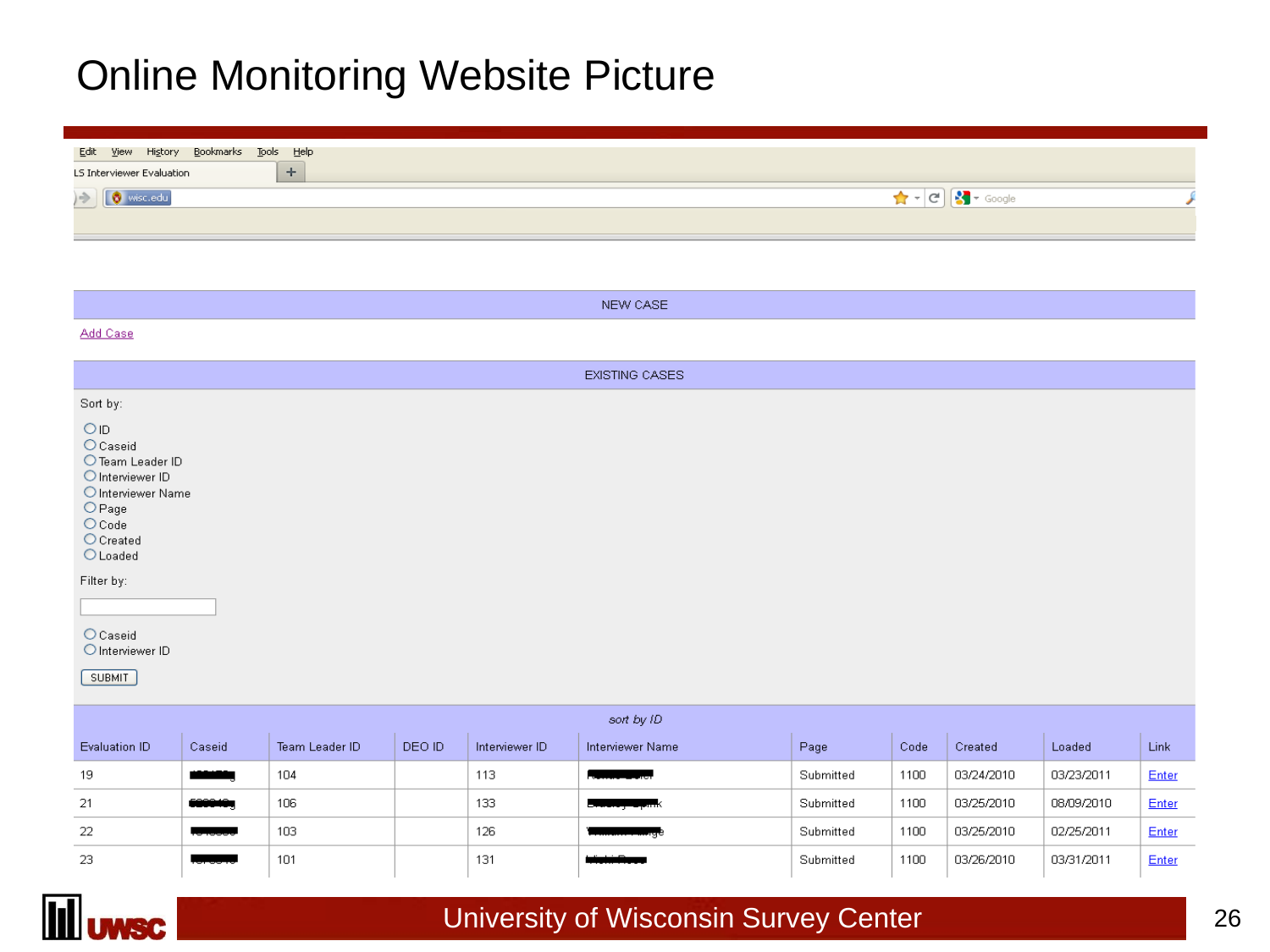### Online Monitoring Website Picture

| Edit <u>V</u> iew Hi <u>s</u> tory <u>B</u> ookmarks <u>T</u> ools Help<br>LS Interviewer Evaluation<br><b>Selection</b> |                                                      |
|--------------------------------------------------------------------------------------------------------------------------|------------------------------------------------------|
| <b>V</b> wisc.edu                                                                                                        | $\sqrt{3}$ $\sim$ Google<br>$\left\  \cdot \right\ $ |

|                                                                                                                                                                       |                                        |                |        |                | NEW CASE              |           |      |            |            |       |
|-----------------------------------------------------------------------------------------------------------------------------------------------------------------------|----------------------------------------|----------------|--------|----------------|-----------------------|-----------|------|------------|------------|-------|
| Add Case                                                                                                                                                              |                                        |                |        |                |                       |           |      |            |            |       |
|                                                                                                                                                                       |                                        |                |        |                | <b>EXISTING CASES</b> |           |      |            |            |       |
| Sort by:                                                                                                                                                              |                                        |                |        |                |                       |           |      |            |            |       |
| OID<br>O Caseid<br>O Interviewer ID<br>$\bigcirc$ Page<br>$O$ Code<br>$O$ Created<br>$O$ Loaded<br>Filter by:<br><b>O</b> Caseid<br>O Interviewer ID<br><b>SUBMIT</b> | O Team Leader ID<br>O Interviewer Name |                |        |                |                       |           |      |            |            |       |
|                                                                                                                                                                       |                                        |                |        |                | sort by ID            |           |      |            |            |       |
| Evaluation ID                                                                                                                                                         | Caseid                                 | Team Leader ID | DEO ID | Interviewer ID | Interviewer Name      | Page      | Code | Created    | Loaded     | Link  |
| 19                                                                                                                                                                    | والمتعاذلات                            | 104            |        | 113            |                       | Submitted | 1100 | 03/24/2010 | 03/23/2011 | Enter |
| 21                                                                                                                                                                    | 6000404                                | 106            |        | 133            |                       | Submitted | 1100 | 03/25/2010 | 08/09/2010 | Enter |
| 22                                                                                                                                                                    |                                        | 103            |        | 126            |                       | Submitted | 1100 | 03/25/2010 | 02/25/2011 | Enter |
| 23                                                                                                                                                                    |                                        | 101            |        | 131            |                       | Submitted | 1100 | 03/26/2010 | 03/31/2011 | Enter |

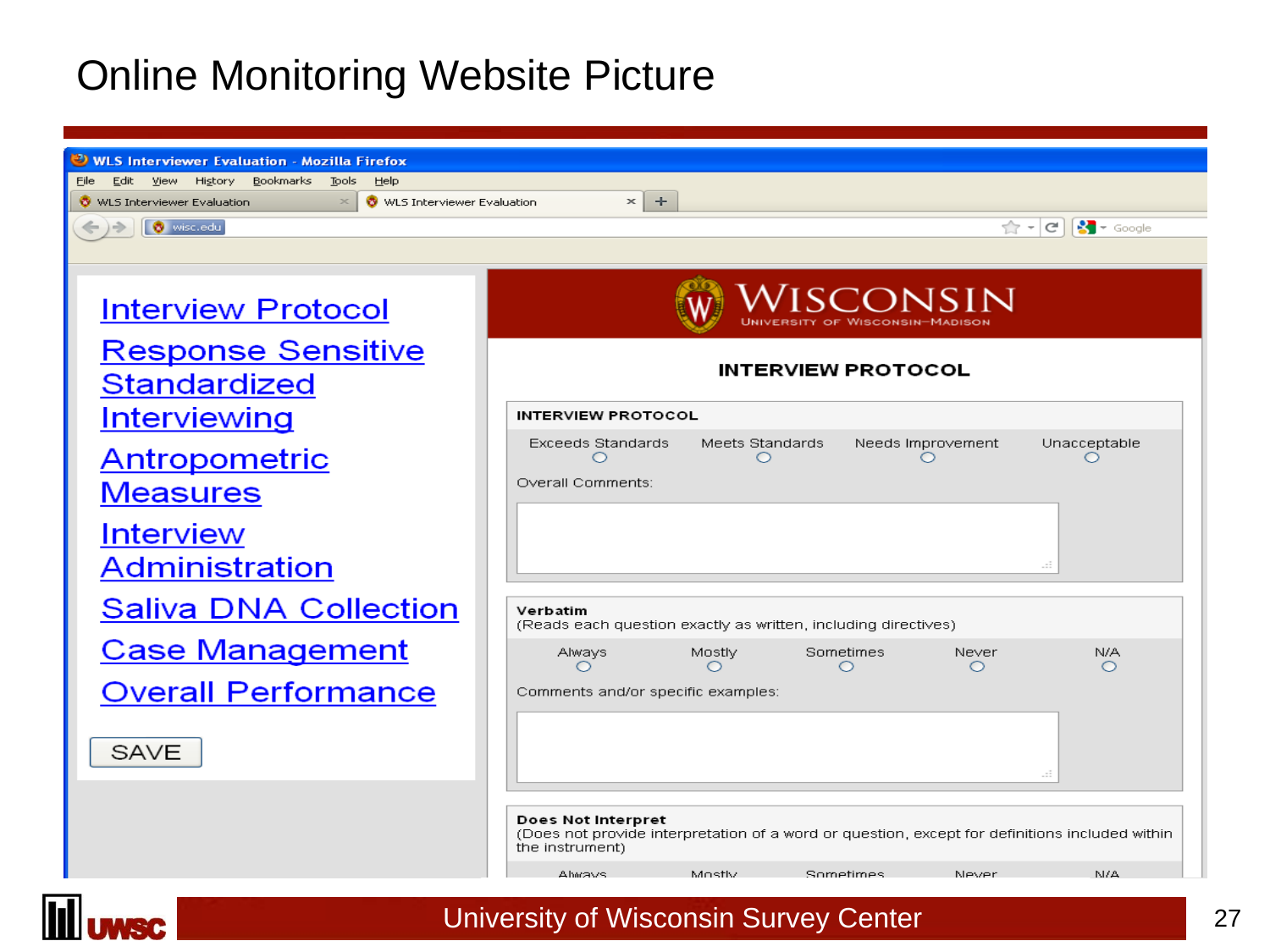### Online Monitoring Website Picture

| <b>WLS Interviewer Evaluation - Mozilla Firefox</b>                                                                                           |                                                                                                                                         |  |  |  |  |  |  |
|-----------------------------------------------------------------------------------------------------------------------------------------------|-----------------------------------------------------------------------------------------------------------------------------------------|--|--|--|--|--|--|
| Edit View History<br>Bookmarks<br>Tools<br>Help<br>File:<br>WLS Interviewer Evaluation<br>$\boldsymbol{\times}$<br>WLS Interviewer Evaluation | ÷<br>$\times$                                                                                                                           |  |  |  |  |  |  |
| wisc.edu                                                                                                                                      | $\frac{1}{2}$ $\sqrt{ }$ Google<br>$\mathbb{Z}$ - $ C $                                                                                 |  |  |  |  |  |  |
|                                                                                                                                               |                                                                                                                                         |  |  |  |  |  |  |
| <b>Interview Protocol</b>                                                                                                                     | Wisconsin                                                                                                                               |  |  |  |  |  |  |
| <u>Response Sensitive</u><br><b>Standardized</b>                                                                                              | <b>INTERVIEW PROTOCOL</b>                                                                                                               |  |  |  |  |  |  |
| <u>Interviewing</u>                                                                                                                           | <b>INTERVIEW PROTOCOL</b>                                                                                                               |  |  |  |  |  |  |
| <u>Antropometric</u><br><b>Measures</b>                                                                                                       | <b>Exceeds Standards</b><br>Meets Standards<br>Unacceptable<br>Needs Improvement<br>O<br>$\circ$<br>◯<br>Overall Comments:              |  |  |  |  |  |  |
| <b>Interview</b><br><b>Administration</b>                                                                                                     |                                                                                                                                         |  |  |  |  |  |  |
| <b>Saliva DNA Collection</b>                                                                                                                  | Verbatim<br>(Reads each question exactly as written, including directives)                                                              |  |  |  |  |  |  |
| <b>Case Management</b>                                                                                                                        | <b>Sometimes</b><br>Mostly<br>Never<br>N/A<br>Always<br>$\circ$<br>$\circ$<br>O<br>$\circ$<br>◯                                         |  |  |  |  |  |  |
| <b>Overall Performance</b>                                                                                                                    | Comments and/or specific examples:                                                                                                      |  |  |  |  |  |  |
| SAVE                                                                                                                                          | æ                                                                                                                                       |  |  |  |  |  |  |
|                                                                                                                                               | Does Not Interpret<br>(Does not provide interpretation of a word or question, except for definitions included within<br>the instrument) |  |  |  |  |  |  |
|                                                                                                                                               | NI/A<br>Ahmays<br>Mostly<br>Sometimes<br>Never                                                                                          |  |  |  |  |  |  |

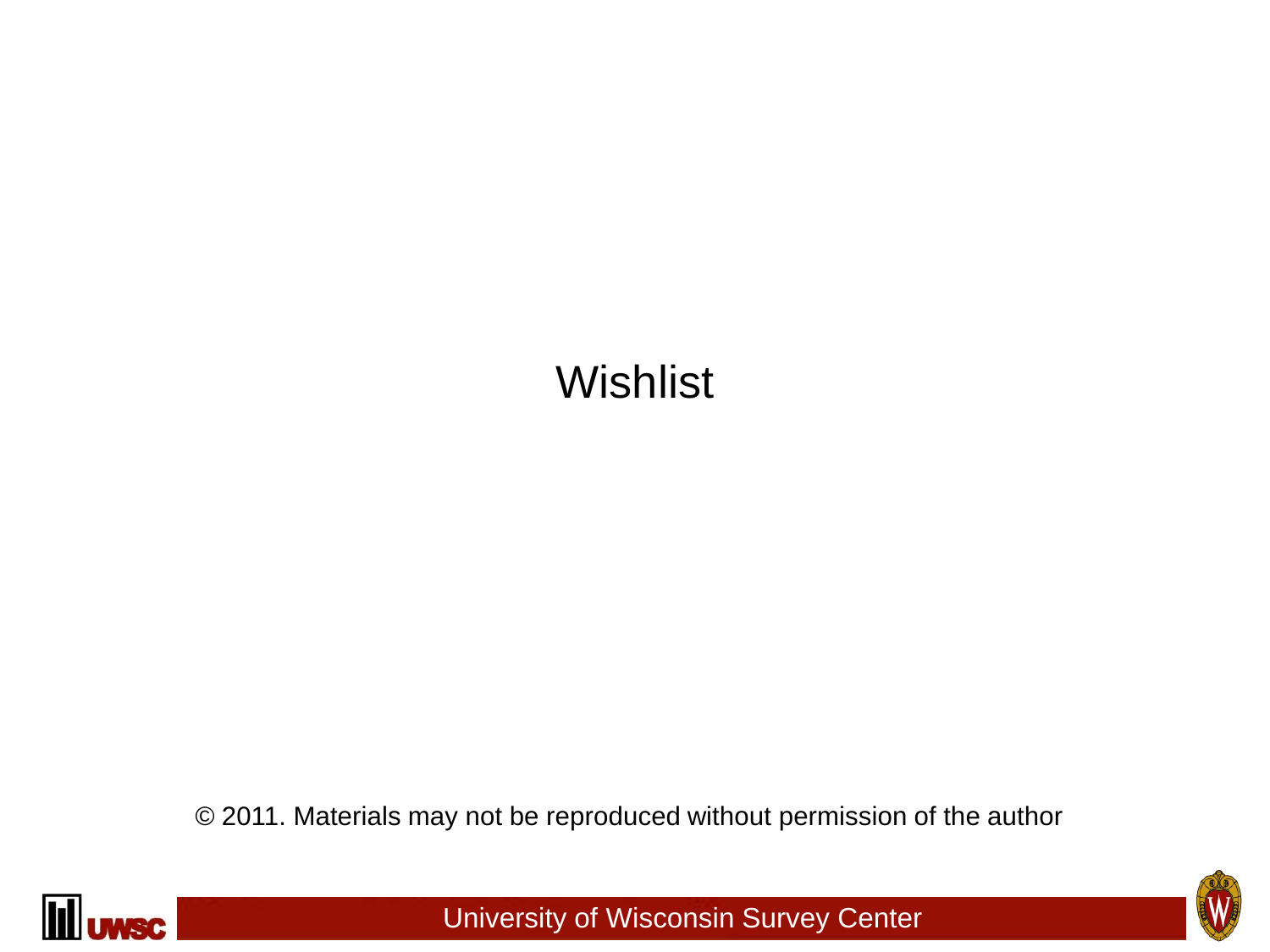## **Wishlist**

© 2011. Materials may not be reproduced without permission of the author



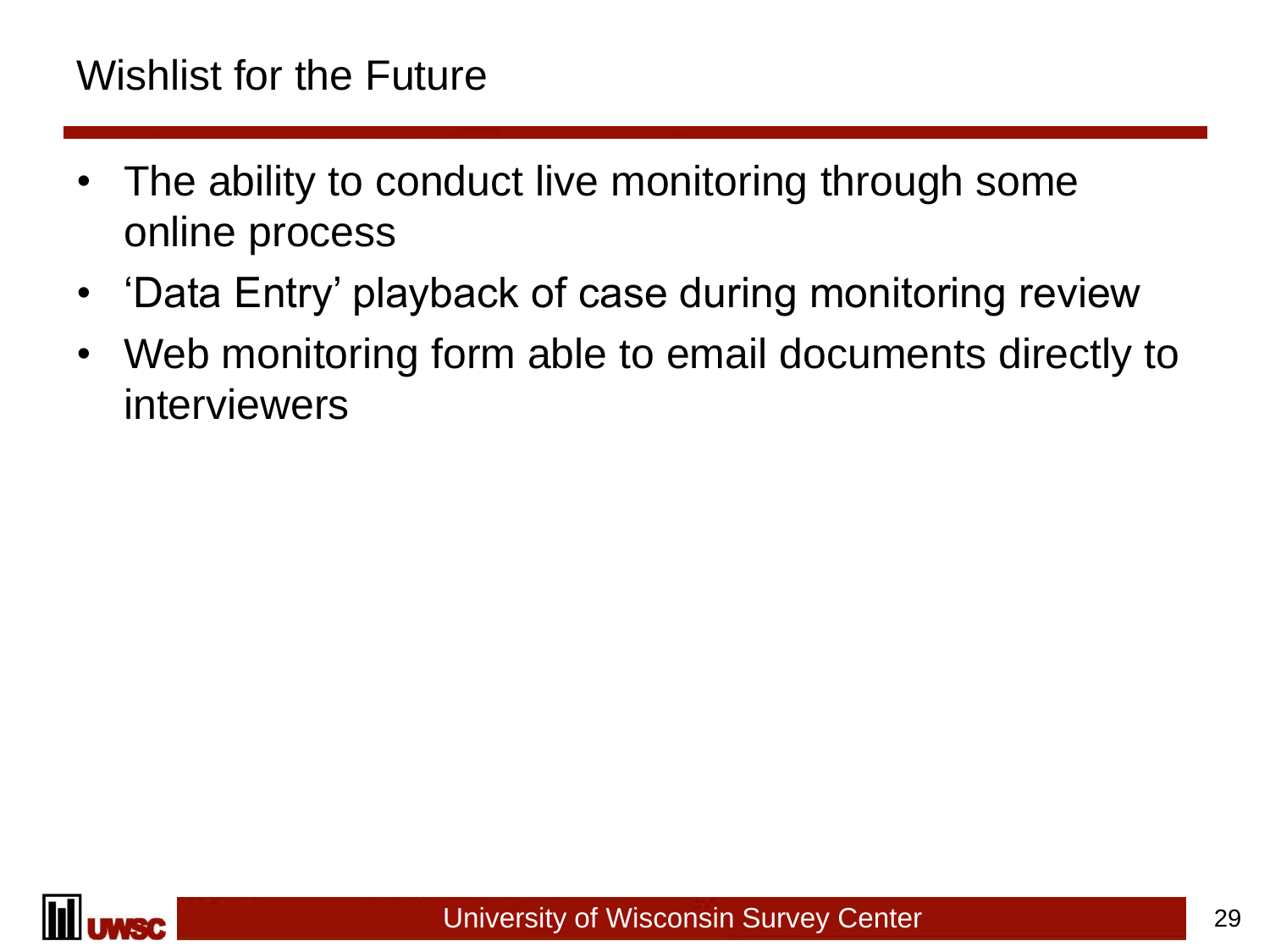### Wishlist for the Future

- The ability to conduct live monitoring through some online process
- 'Data Entry' playback of case during monitoring review
- Web monitoring form able to email documents directly to interviewers